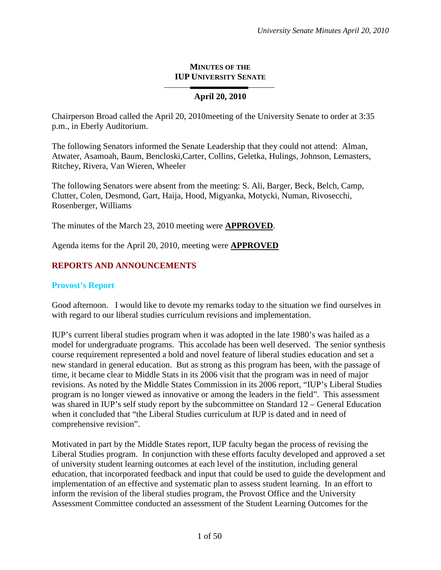# **MINUTES OF THE IUP UNIVERSITY SENATE**

# **April 20, 2010**

Chairperson Broad called the April 20, 2010meeting of the University Senate to order at 3:35 p.m., in Eberly Auditorium.

The following Senators informed the Senate Leadership that they could not attend: Alman, Atwater, Asamoah, Baum, Bencloski,Carter, Collins, Geletka, Hulings, Johnson, Lemasters, Ritchey, Rivera, Van Wieren, Wheeler

The following Senators were absent from the meeting: S. Ali, Barger, Beck, Belch, Camp, Clutter, Colen, Desmond, Gart, Haija, Hood, Migyanka, Motycki, Numan, Rivosecchi, Rosenberger, Williams

The minutes of the March 23, 2010 meeting were **APPROVED**.

Agenda items for the April 20, 2010, meeting were **APPROVED**

# **REPORTS AND ANNOUNCEMENTS**

## **Provost's Report**

Good afternoon. I would like to devote my remarks today to the situation we find ourselves in with regard to our liberal studies curriculum revisions and implementation.

IUP's current liberal studies program when it was adopted in the late 1980's was hailed as a model for undergraduate programs. This accolade has been well deserved. The senior synthesis course requirement represented a bold and novel feature of liberal studies education and set a new standard in general education. But as strong as this program has been, with the passage of time, it became clear to Middle Stats in its 2006 visit that the program was in need of major revisions. As noted by the Middle States Commission in its 2006 report, "IUP's Liberal Studies program is no longer viewed as innovative or among the leaders in the field". This assessment was shared in IUP's self study report by the subcommittee on Standard 12 – General Education when it concluded that "the Liberal Studies curriculum at IUP is dated and in need of comprehensive revision".

Motivated in part by the Middle States report, IUP faculty began the process of revising the Liberal Studies program. In conjunction with these efforts faculty developed and approved a set of university student learning outcomes at each level of the institution, including general education, that incorporated feedback and input that could be used to guide the development and implementation of an effective and systematic plan to assess student learning. In an effort to inform the revision of the liberal studies program, the Provost Office and the University Assessment Committee conducted an assessment of the Student Learning Outcomes for the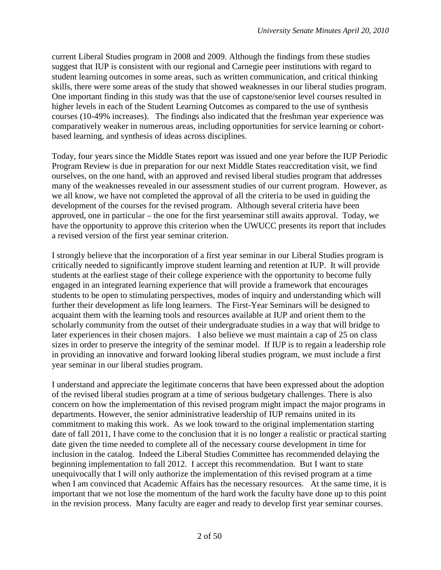current Liberal Studies program in 2008 and 2009. Although the findings from these studies suggest that IUP is consistent with our regional and Carnegie peer institutions with regard to student learning outcomes in some areas, such as written communication, and critical thinking skills, there were some areas of the study that showed weaknesses in our liberal studies program. One important finding in this study was that the use of capstone/senior level courses resulted in higher levels in each of the Student Learning Outcomes as compared to the use of synthesis courses (10-49% increases). The findings also indicated that the freshman year experience was comparatively weaker in numerous areas, including opportunities for service learning or cohortbased learning, and synthesis of ideas across disciplines.

Today, four years since the Middle States report was issued and one year before the IUP Periodic Program Review is due in preparation for our next Middle States reaccreditation visit, we find ourselves, on the one hand, with an approved and revised liberal studies program that addresses many of the weaknesses revealed in our assessment studies of our current program. However, as we all know, we have not completed the approval of all the criteria to be used in guiding the development of the courses for the revised program. Although several criteria have been approved, one in particular – the one for the first yearseminar still awaits approval. Today, we have the opportunity to approve this criterion when the UWUCC presents its report that includes a revised version of the first year seminar criterion.

I strongly believe that the incorporation of a first year seminar in our Liberal Studies program is critically needed to significantly improve student learning and retention at IUP. It will provide students at the earliest stage of their college experience with the opportunity to become fully engaged in an integrated learning experience that will provide a framework that encourages students to be open to stimulating perspectives, modes of inquiry and understanding which will further their development as life long learners. The First-Year Seminars will be designed to acquaint them with the learning tools and resources available at IUP and orient them to the scholarly community from the outset of their undergraduate studies in a way that will bridge to later experiences in their chosen majors. I also believe we must maintain a cap of 25 on class sizes in order to preserve the integrity of the seminar model. If IUP is to regain a leadership role in providing an innovative and forward looking liberal studies program, we must include a first year seminar in our liberal studies program.

I understand and appreciate the legitimate concerns that have been expressed about the adoption of the revised liberal studies program at a time of serious budgetary challenges. There is also concern on how the implementation of this revised program might impact the major programs in departments. However, the senior administrative leadership of IUP remains united in its commitment to making this work. As we look toward to the original implementation starting date of fall 2011, I have come to the conclusion that it is no longer a realistic or practical starting date given the time needed to complete all of the necessary course development in time for inclusion in the catalog. Indeed the Liberal Studies Committee has recommended delaying the beginning implementation to fall 2012. I accept this recommendation. But I want to state unequivocally that I will only authorize the implementation of this revised program at a time when I am convinced that Academic Affairs has the necessary resources. At the same time, it is important that we not lose the momentum of the hard work the faculty have done up to this point in the revision process. Many faculty are eager and ready to develop first year seminar courses.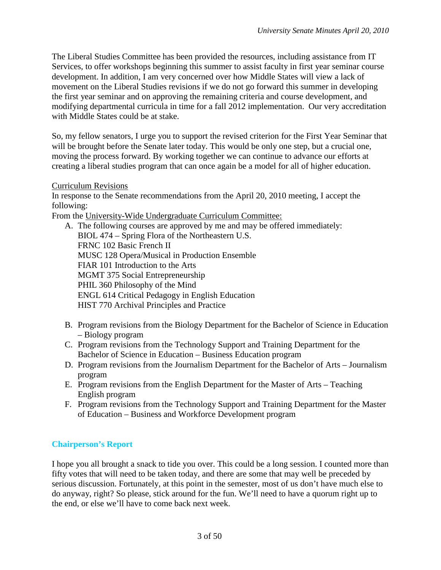The Liberal Studies Committee has been provided the resources, including assistance from IT Services, to offer workshops beginning this summer to assist faculty in first year seminar course development. In addition, I am very concerned over how Middle States will view a lack of movement on the Liberal Studies revisions if we do not go forward this summer in developing the first year seminar and on approving the remaining criteria and course development, and modifying departmental curricula in time for a fall 2012 implementation. Our very accreditation with Middle States could be at stake.

So, my fellow senators, I urge you to support the revised criterion for the First Year Seminar that will be brought before the Senate later today. This would be only one step, but a crucial one, moving the process forward. By working together we can continue to advance our efforts at creating a liberal studies program that can once again be a model for all of higher education.

# Curriculum Revisions

In response to the Senate recommendations from the April 20, 2010 meeting, I accept the following:

From the University-Wide Undergraduate Curriculum Committee:

A. The following courses are approved by me and may be offered immediately: BIOL 474 – Spring Flora of the Northeastern U.S. FRNC 102 Basic French II MUSC 128 Opera/Musical in Production Ensemble FIAR 101 Introduction to the Arts MGMT 375 Social Entrepreneurship PHIL 360 Philosophy of the Mind ENGL 614 Critical Pedagogy in English Education HIST 770 Archival Principles and Practice

- B. Program revisions from the Biology Department for the Bachelor of Science in Education – Biology program
- C. Program revisions from the Technology Support and Training Department for the Bachelor of Science in Education – Business Education program
- D. Program revisions from the Journalism Department for the Bachelor of Arts Journalism program
- E. Program revisions from the English Department for the Master of Arts Teaching English program
- F. Program revisions from the Technology Support and Training Department for the Master of Education – Business and Workforce Development program

# **Chairperson's Report**

I hope you all brought a snack to tide you over. This could be a long session. I counted more than fifty votes that will need to be taken today, and there are some that may well be preceded by serious discussion. Fortunately, at this point in the semester, most of us don't have much else to do anyway, right? So please, stick around for the fun. We'll need to have a quorum right up to the end, or else we'll have to come back next week.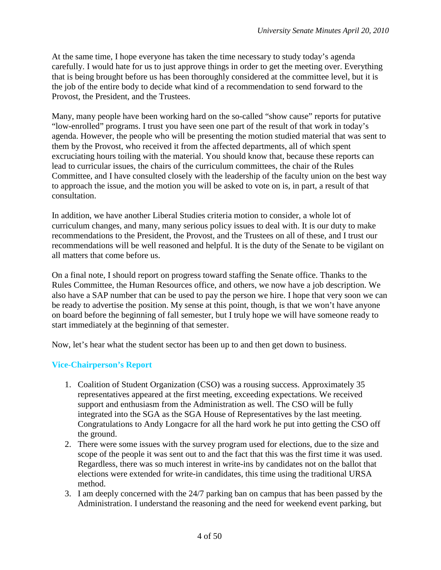At the same time, I hope everyone has taken the time necessary to study today's agenda carefully. I would hate for us to just approve things in order to get the meeting over. Everything that is being brought before us has been thoroughly considered at the committee level, but it is the job of the entire body to decide what kind of a recommendation to send forward to the Provost, the President, and the Trustees.

Many, many people have been working hard on the so-called "show cause" reports for putative "low-enrolled" programs. I trust you have seen one part of the result of that work in today's agenda. However, the people who will be presenting the motion studied material that was sent to them by the Provost, who received it from the affected departments, all of which spent excruciating hours toiling with the material. You should know that, because these reports can lead to curricular issues, the chairs of the curriculum committees, the chair of the Rules Committee, and I have consulted closely with the leadership of the faculty union on the best way to approach the issue, and the motion you will be asked to vote on is, in part, a result of that consultation.

In addition, we have another Liberal Studies criteria motion to consider, a whole lot of curriculum changes, and many, many serious policy issues to deal with. It is our duty to make recommendations to the President, the Provost, and the Trustees on all of these, and I trust our recommendations will be well reasoned and helpful. It is the duty of the Senate to be vigilant on all matters that come before us.

On a final note, I should report on progress toward staffing the Senate office. Thanks to the Rules Committee, the Human Resources office, and others, we now have a job description. We also have a SAP number that can be used to pay the person we hire. I hope that very soon we can be ready to advertise the position. My sense at this point, though, is that we won't have anyone on board before the beginning of fall semester, but I truly hope we will have someone ready to start immediately at the beginning of that semester.

Now, let's hear what the student sector has been up to and then get down to business.

# **Vice-Chairperson's Report**

- 1. Coalition of Student Organization (CSO) was a rousing success. Approximately 35 representatives appeared at the first meeting, exceeding expectations. We received support and enthusiasm from the Administration as well. The CSO will be fully integrated into the SGA as the SGA House of Representatives by the last meeting. Congratulations to Andy Longacre for all the hard work he put into getting the CSO off the ground.
- 2. There were some issues with the survey program used for elections, due to the size and scope of the people it was sent out to and the fact that this was the first time it was used. Regardless, there was so much interest in write-ins by candidates not on the ballot that elections were extended for write-in candidates, this time using the traditional URSA method.
- 3. I am deeply concerned with the 24/7 parking ban on campus that has been passed by the Administration. I understand the reasoning and the need for weekend event parking, but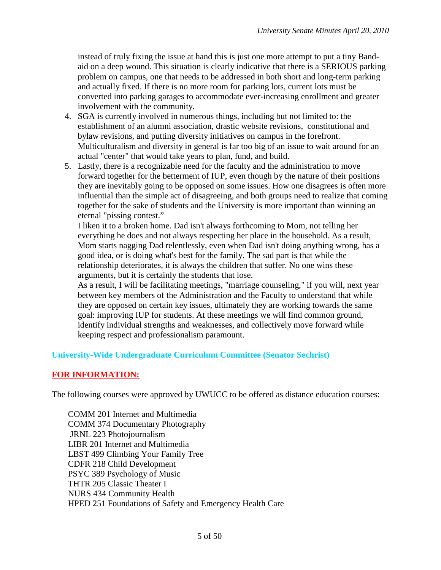instead of truly fixing the issue at hand this is just one more attempt to put a tiny Bandaid on a deep wound. This situation is clearly indicative that there is a SERIOUS parking problem on campus, one that needs to be addressed in both short and long-term parking and actually fixed. If there is no more room for parking lots, current lots must be converted into parking garages to accommodate ever-increasing enrollment and greater involvement with the community.

- 4. SGA is currently involved in numerous things, including but not limited to: the establishment of an alumni association, drastic website revisions, constitutional and bylaw revisions, and putting diversity initiatives on campus in the forefront. Multiculturalism and diversity in general is far too big of an issue to wait around for an actual "center" that would take years to plan, fund, and build.
- 5. Lastly, there is a recognizable need for the faculty and the administration to move forward together for the betterment of IUP, even though by the nature of their positions they are inevitably going to be opposed on some issues. How one disagrees is often more influential than the simple act of disagreeing, and both groups need to realize that coming together for the sake of students and the University is more important than winning an eternal "pissing contest."

I liken it to a broken home. Dad isn't always forthcoming to Mom, not telling her everything he does and not always respecting her place in the household. As a result, Mom starts nagging Dad relentlessly, even when Dad isn't doing anything wrong, has a good idea, or is doing what's best for the family. The sad part is that while the relationship deteriorates, it is always the children that suffer. No one wins these arguments, but it is certainly the students that lose.

As a result, I will be facilitating meetings, "marriage counseling," if you will, next year between key members of the Administration and the Faculty to understand that while they are opposed on certain key issues, ultimately they are working towards the same goal: improving IUP for students. At these meetings we will find common ground, identify individual strengths and weaknesses, and collectively move forward while keeping respect and professionalism paramount.

# **University-Wide Undergraduate Curriculum Committee (Senator Sechrist)**

# **FOR INFORMATION:**

The following courses were approved by UWUCC to be offered as distance education courses:

COMM 201 Internet and Multimedia COMM 374 Documentary Photography JRNL 223 Photojournalism LIBR 201 Internet and Multimedia LBST 499 Climbing Your Family Tree CDFR 218 Child Development PSYC 389 Psychology of Music THTR 205 Classic Theater I NURS 434 Community Health HPED 251 Foundations of Safety and Emergency Health Care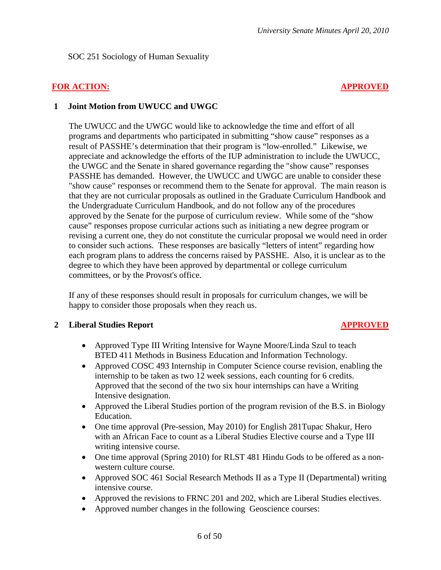SOC 251 Sociology of Human Sexuality

# **FOR ACTION: APPROVED**

# **1 Joint Motion from UWUCC and UWGC**

The UWUCC and the UWGC would like to acknowledge the time and effort of all programs and departments who participated in submitting "show cause" responses as a result of PASSHE's determination that their program is "low-enrolled." Likewise, we appreciate and acknowledge the efforts of the IUP administration to include the UWUCC, the UWGC and the Senate in shared governance regarding the "show cause" responses PASSHE has demanded. However, the UWUCC and UWGC are unable to consider these "show cause" responses or recommend them to the Senate for approval. The main reason is that they are not curricular proposals as outlined in the Graduate Curriculum Handbook and the Undergraduate Curriculum Handbook, and do not follow any of the procedures approved by the Senate for the purpose of curriculum review. While some of the "show cause" responses propose curricular actions such as initiating a new degree program or revising a current one, they do not constitute the curricular proposal we would need in order to consider such actions. These responses are basically "letters of intent" regarding how each program plans to address the concerns raised by PASSHE. Also, it is unclear as to the degree to which they have been approved by departmental or college curriculum committees, or by the Provost's office.

If any of these responses should result in proposals for curriculum changes, we will be happy to consider those proposals when they reach us.

# **2 Liberal Studies Report APPROVED**

- Approved Type III Writing Intensive for Wayne Moore/Linda Szul to teach BTED 411 Methods in Business Education and Information Technology.
- Approved COSC 493 Internship in Computer Science course revision, enabling the internship to be taken as two 12 week sessions, each counting for 6 credits. Approved that the second of the two six hour internships can have a Writing Intensive designation.
- Approved the Liberal Studies portion of the program revision of the B.S. in Biology Education.
- One time approval (Pre-session, May 2010) for English 281 Tupac Shakur, Hero with an African Face to count as a Liberal Studies Elective course and a Type III writing intensive course.
- One time approval (Spring 2010) for RLST 481 Hindu Gods to be offered as a nonwestern culture course.
- Approved SOC 461 Social Research Methods II as a Type II (Departmental) writing intensive course.
- Approved the revisions to FRNC 201 and 202, which are Liberal Studies electives.
- Approved number changes in the following Geoscience courses: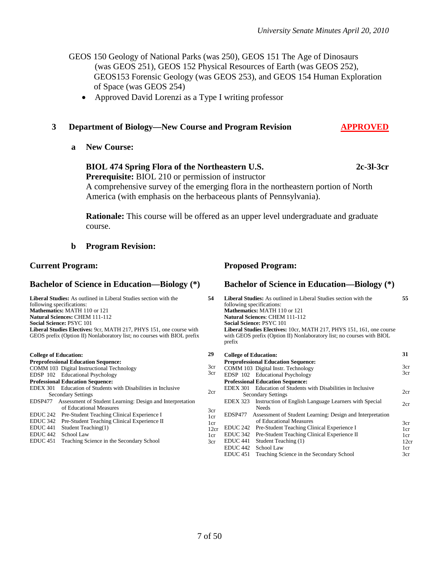- GEOS 150 Geology of National Parks (was 250), GEOS 151 The Age of Dinosaurs (was GEOS 251), GEOS 152 Physical Resources of Earth (was GEOS 252), GEOS153 Forensic Geology (was GEOS 253), and GEOS 154 Human Exploration of Space (was GEOS 254)
	- Approved David Lorenzi as a Type I writing professor

# **3 Department of Biology—New Course and Program Revision APPROVED**

**a New Course:**

# **BIOL 474 Spring Flora of the Northeastern U.S. 2c-3l-3cr**

**Prerequisite:** BIOL 210 or permission of instructor

A comprehensive survey of the emerging flora in the northeastern portion of North America (with emphasis on the herbaceous plants of Pennsylvania).

**Rationale:** This course will be offered as an upper level undergraduate and graduate course.

# **b Program Revision:**

# **Current Program:**

#### **Bachelor of Science in Education—Biology (\*)**

**Liberal Studies:** As outlined in Liberal Studies section with the following specifications: **Mathematics:** MATH 110 or 121 **Natural Sciences:** CHEM 111-112 **Social Science:** PSYC 101 **Liberal Studies Electives:** 9cr, MATH 217, PHYS 151, one course with GEOS prefix (Option II) Nonlaboratory list; no courses with BIOL prefix

| <b>College of Education:</b> |                                                                   | 29  |
|------------------------------|-------------------------------------------------------------------|-----|
|                              | <b>Preprofessional Education Sequence:</b>                        |     |
|                              | COMM 103 Digital Instructional Technology                         | 3cr |
|                              | EDSP 102 Educational Psychology                                   | 3cr |
|                              | <b>Professional Education Sequence:</b>                           |     |
|                              | EDEX 301 Education of Students with Disabilities in Inclusive     |     |
|                              | <b>Secondary Settings</b>                                         | 2cr |
|                              | EDSP477 Assessment of Student Learning: Design and Interpretation |     |
|                              | of Educational Measures                                           | 3cr |
| EDUC 242                     | Pre-Student Teaching Clinical Experience I                        | 1cr |
| EDUC 342                     | Pre-Student Teaching Clinical Experience II                       | 1cr |
| EDUC <sub>441</sub>          | Student Teaching(1)                                               | 12c |
| EDUC 442                     | School Law                                                        | 1cr |
| EDUC <sub>451</sub>          | Teaching Science in the Secondary School                          | 3cr |
|                              |                                                                   |     |
|                              |                                                                   |     |

# **Proposed Program:**

# **Bachelor of Science in Education—Biology (\*)**

| 54                                      | prefix                                                                                            | <b>Liberal Studies:</b> As outlined in Liberal Studies section with the<br>following specifications:<br><b>Mathematics: MATH 110 or 121</b><br><b>Natural Sciences: CHEM 111-112</b><br><b>Social Science: PSYC 101</b><br>Liberal Studies Electives: 10cr, MATH 217, PHYS 151, 161, one course<br>with GEOS prefix (Option II) Nonlaboratory list; no courses with BIOL | 55                                      |
|-----------------------------------------|---------------------------------------------------------------------------------------------------|--------------------------------------------------------------------------------------------------------------------------------------------------------------------------------------------------------------------------------------------------------------------------------------------------------------------------------------------------------------------------|-----------------------------------------|
| 29                                      | <b>College of Education:</b>                                                                      |                                                                                                                                                                                                                                                                                                                                                                          | 31                                      |
| 3cr<br>3cr<br>2cr                       |                                                                                                   | <b>Preprofessional Education Sequence:</b><br>COMM 103 Digital Instr. Technology<br>EDSP 102 Educational Psychology<br><b>Professional Education Sequence:</b><br><b>EDEX 301</b> Education of Students with Disabilities in Inclusive<br><b>Secondary Settings</b>                                                                                                      | 3cr<br>3cr<br>2cr                       |
| 3cr<br>1cr<br>1cr<br>12cr<br>1cr<br>3cr | <b>EDEX 323</b><br>EDSP477<br>EDUC 242<br>EDUC 342<br>EDUC 441<br>EDUC 442<br>EDUC <sub>451</sub> | Instruction of English Language Learners with Special<br><b>Needs</b><br>Assessment of Student Learning: Design and Interpretation<br>of Educational Measures<br>Pre-Student Teaching Clinical Experience I<br>Pre-Student Teaching Clinical Experience II<br>Student Teaching (1)<br>School Law                                                                         | 2cr<br>3cr<br>1cr<br>1cr<br>12cr<br>1cr |
|                                         |                                                                                                   | Teaching Science in the Secondary School                                                                                                                                                                                                                                                                                                                                 | 3cr                                     |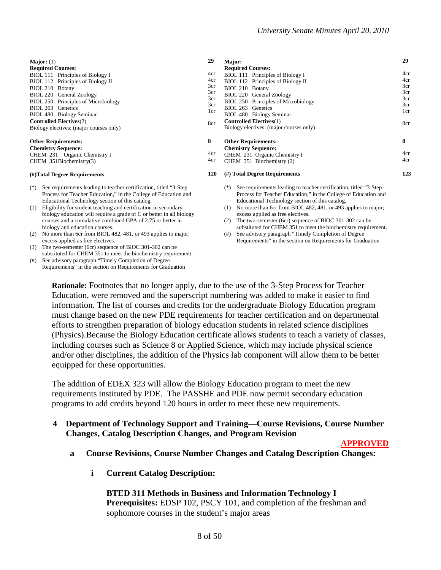Requirements" in the section on Requirements for Graduation

| Major: $(1)$<br><b>Required Courses:</b><br>BIOL 111 Principles of Biology I<br>BIOL 112 Principles of Biology II<br>BIOL 210 Botany<br>BIOL 220 General Zoology<br>BIOL 250 Principles of Microbiology<br>BIOL 263 Genetics<br>BIOL 480 Biology Seminar<br><b>Controlled Electives(2)</b><br>Biology electives: (major courses only)                                                                                                                                                                                       |  | 29<br>Major:<br><b>Required Courses:</b><br>4cr<br>BIOL 111 Principles of Biology I<br>4cr<br>BIOL 112 Principles of Biology II<br>3cr<br>BIOL 210 Botany<br>3cr<br>BIOL 220 General Zoology<br>3cr<br>BIOL 250 Principles of Microbiology<br>3cr<br>BIOL 263 Genetics<br>1cr<br>BIOL 480 Biology Seminar<br><b>Controlled Electives</b> (1)<br>8cr<br>Biology electives: (major courses only)                                                                                                                   |                        |
|-----------------------------------------------------------------------------------------------------------------------------------------------------------------------------------------------------------------------------------------------------------------------------------------------------------------------------------------------------------------------------------------------------------------------------------------------------------------------------------------------------------------------------|--|------------------------------------------------------------------------------------------------------------------------------------------------------------------------------------------------------------------------------------------------------------------------------------------------------------------------------------------------------------------------------------------------------------------------------------------------------------------------------------------------------------------|------------------------|
| <b>Other Requirements:</b><br><b>Chemistry Sequence:</b><br>CHEM 231 Organic Chemistry I<br>CHEM $351Biochemistry(3)$<br>(#)Total Degree Requirements                                                                                                                                                                                                                                                                                                                                                                       |  | <b>Other Requirements:</b><br><b>Chemistry Sequence:</b><br>CHEM 231 Organic Chemistry I<br>CHEM 351 Biochemistry (2)<br>(#) Total Degree Requirements                                                                                                                                                                                                                                                                                                                                                           | 8<br>4cr<br>4cr<br>123 |
| See requirements leading to teacher certification, titled "3-Step"<br>$(*)$<br>Process for Teacher Education," in the College of Education and<br>Educational Technology section of this catalog.<br>Eligibility for student teaching and certification in secondary<br>(1)<br>biology education will require a grade of C or better in all biology<br>courses and a cumulative combined GPA of 2.75 or better in<br>biology and education courses.<br>No more than 6cr from BIOL 482, 481, or 493 applies to major;<br>(2) |  | See requirements leading to teacher certification, titled "3-Step"<br>$(*)$<br>Process for Teacher Education," in the College of Education and<br>Educational Technology section of this catalog.<br>No more than 6cr from BIOL 482, 481, or 493 applies to major;<br>(1)<br>excess applied as free electives.<br>The two-semester (6cr) sequence of BIOC 301-302 can be<br>(2)<br>substituted for CHEM 351 to meet the biochemistry requirement.<br>See advisory paragraph "Timely Completion of Degree<br>(# ) |                        |

- excess applied as free electives. (3) The two-semester (6cr) sequence of BIOC 301-302 can be
- substituted for CHEM 351 to meet the biochemistry requirement. (#) See advisory paragraph "Timely Completion of Degree
- Requirements" in the section on Requirements for Graduation

**Rationale:** Footnotes that no longer apply, due to the use of the 3-Step Process for Teacher Education, were removed and the superscript numbering was added to make it easier to find information. The list of courses and credits for the undergraduate Biology Education program must change based on the new PDE requirements for teacher certification and on departmental efforts to strengthen preparation of biology education students in related science disciplines (Physics).Because the Biology Education certificate allows students to teach a variety of classes, including courses such as Science 8 or Applied Science, which may include physical science and/or other disciplines, the addition of the Physics lab component will allow them to be better equipped for these opportunities.

The addition of EDEX 323 will allow the Biology Education program to meet the new requirements instituted by PDE. The PASSHE and PDE now permit secondary education programs to add credits beyond 120 hours in order to meet these new requirements.

**4 Department of Technology Support and Training—Course Revisions, Course Number Changes, Catalog Description Changes, and Program Revision**

**APPROVED**

- **a Course Revisions, Course Number Changes and Catalog Description Changes:**
	- **i Current Catalog Description:**

**BTED 311 Methods in Business and Information Technology I Prerequisites:** EDSP 102, PSCY 101, and completion of the freshman and sophomore courses in the student's major areas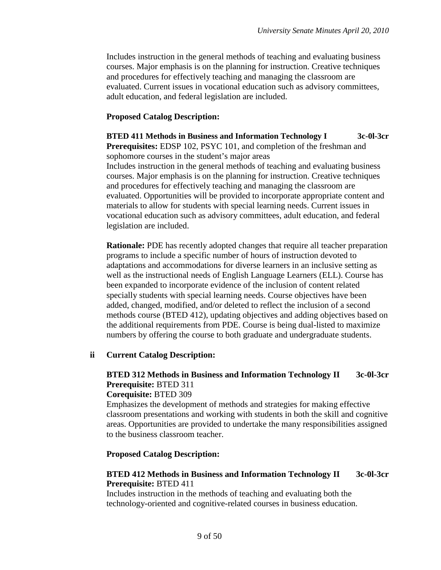Includes instruction in the general methods of teaching and evaluating business courses. Major emphasis is on the planning for instruction. Creative techniques and procedures for effectively teaching and managing the classroom are evaluated. Current issues in vocational education such as advisory committees, adult education, and federal legislation are included.

# **Proposed Catalog Description:**

**BTED 411 Methods in Business and Information Technology I 3c-0l-3cr Prerequisites:** EDSP 102, PSYC 101, and completion of the freshman and sophomore courses in the student's major areas Includes instruction in the general methods of teaching and evaluating business courses. Major emphasis is on the planning for instruction. Creative techniques and procedures for effectively teaching and managing the classroom are evaluated. Opportunities will be provided to incorporate appropriate content and materials to allow for students with special learning needs. Current issues in vocational education such as advisory committees, adult education, and federal legislation are included.

**Rationale:** PDE has recently adopted changes that require all teacher preparation programs to include a specific number of hours of instruction devoted to adaptations and accommodations for diverse learners in an inclusive setting as well as the instructional needs of English Language Learners (ELL). Course has been expanded to incorporate evidence of the inclusion of content related specially students with special learning needs. Course objectives have been added, changed, modified, and/or deleted to reflect the inclusion of a second methods course (BTED 412), updating objectives and adding objectives based on the additional requirements from PDE. Course is being dual-listed to maximize numbers by offering the course to both graduate and undergraduate students.

# **ii Current Catalog Description:**

# **BTED 312 Methods in Business and Information Technology II 3c-0l-3cr Prerequisite:** BTED 311

#### **Corequisite:** BTED 309

Emphasizes the development of methods and strategies for making effective classroom presentations and working with students in both the skill and cognitive areas. Opportunities are provided to undertake the many responsibilities assigned to the business classroom teacher.

### **Proposed Catalog Description:**

# **BTED 412 Methods in Business and Information Technology II 3c-0l-3cr Prerequisite:** BTED 411

Includes instruction in the methods of teaching and evaluating both the technology-oriented and cognitive-related courses in business education.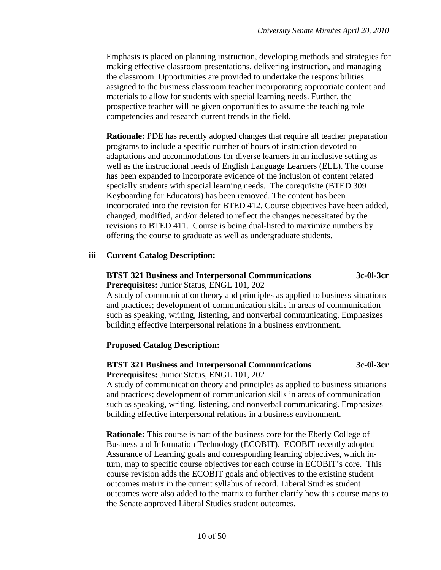Emphasis is placed on planning instruction, developing methods and strategies for making effective classroom presentations, delivering instruction, and managing the classroom. Opportunities are provided to undertake the responsibilities assigned to the business classroom teacher incorporating appropriate content and materials to allow for students with special learning needs. Further, the prospective teacher will be given opportunities to assume the teaching role competencies and research current trends in the field.

**Rationale:** PDE has recently adopted changes that require all teacher preparation programs to include a specific number of hours of instruction devoted to adaptations and accommodations for diverse learners in an inclusive setting as well as the instructional needs of English Language Learners (ELL). The course has been expanded to incorporate evidence of the inclusion of content related specially students with special learning needs. The corequisite (BTED 309 Keyboarding for Educators) has been removed. The content has been incorporated into the revision for BTED 412. Course objectives have been added, changed, modified, and/or deleted to reflect the changes necessitated by the revisions to BTED 411. Course is being dual-listed to maximize numbers by offering the course to graduate as well as undergraduate students.

# **iii Current Catalog Description:**

#### **BTST 321 Business and Interpersonal Communications 3c-0l-3cr Prerequisites:** Junior Status, ENGL 101, 202

A study of communication theory and principles as applied to business situations and practices; development of communication skills in areas of communication such as speaking, writing, listening, and nonverbal communicating. Emphasizes building effective interpersonal relations in a business environment.

# **Proposed Catalog Description:**

#### **BTST 321 Business and Interpersonal Communications 3c-0l-3cr Prerequisites:** Junior Status, ENGL 101, 202

A study of communication theory and principles as applied to business situations and practices; development of communication skills in areas of communication such as speaking, writing, listening, and nonverbal communicating. Emphasizes building effective interpersonal relations in a business environment.

**Rationale:** This course is part of the business core for the Eberly College of Business and Information Technology (ECOBIT). ECOBIT recently adopted Assurance of Learning goals and corresponding learning objectives, which inturn, map to specific course objectives for each course in ECOBIT's core. This course revision adds the ECOBIT goals and objectives to the existing student outcomes matrix in the current syllabus of record. Liberal Studies student outcomes were also added to the matrix to further clarify how this course maps to the Senate approved Liberal Studies student outcomes.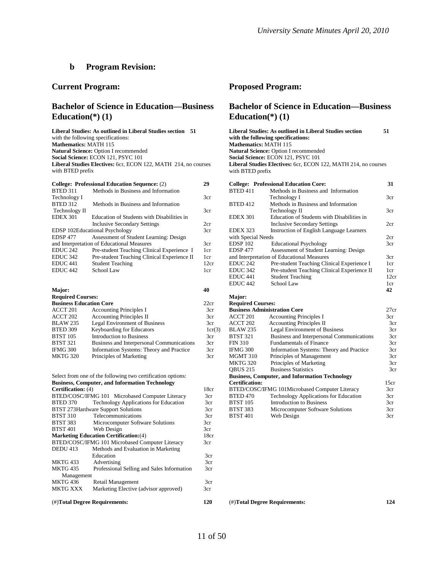#### **b Program Revision:**

#### **Current Program:**

### **Bachelor of Science in Education—Business Education(\*) (1)**

**Liberal Studies: As outlined in Liberal Studies section 51** with the following specifications: **Mathematics:** MATH 115 **Natural Science:** Option I recommended **Social Science:** ECON 121, PSYC 101 **Liberal Studies Electives:** 6cr, ECON 122, MATH 214, no courses with BTED prefix

|                     | College: Professional Education Sequence: (2) | 29   |
|---------------------|-----------------------------------------------|------|
| <b>BTED 311</b>     | Methods in Business and Information           |      |
| Technology I        |                                               | 3cr  |
| <b>BTED 312</b>     | Methods in Business and Information           |      |
| Technology II       |                                               | 3cr  |
| <b>EDEX 301</b>     | Education of Students with Disabilities in    |      |
|                     | Inclusive Secondary Settings                  | 2cr  |
|                     | <b>EDSP</b> 102Educational Psychology         | 3cr  |
| <b>EDSP477</b>      | Assessment of Student Learning: Design        |      |
|                     | and Interpretation of Educational Measures    | 3cr  |
| EDUC <sub>242</sub> | Pre-student Teaching Clinical Experience I    | 1cr  |
| EDUC <sub>342</sub> | Pre-student Teaching Clinical Experience II   | 1cr  |
| EDUC <sub>441</sub> | <b>Student Teaching</b>                       | 12cr |
| EDUC 442            | School Law                                    | 1cr  |

| Major:                         |                                           | 40     |
|--------------------------------|-------------------------------------------|--------|
| <b>Required Courses:</b>       |                                           |        |
| <b>Business Education Core</b> |                                           | 22cr   |
| ACCT 201                       | <b>Accounting Principles I</b>            | 3cr    |
| ACCT 202                       | <b>Accounting Principles II</b>           | 3cr    |
| <b>BLAW 235</b>                | <b>Legal Environment of Business</b>      | 3cr    |
| BTED 309                       | Keyboarding for Educators                 | 1cr(3) |
| <b>BTST 105</b>                | <b>Introduction to Business</b>           | 3cr    |
| <b>BTST 321</b>                | Business and Interpersonal Communications | 3cr    |
| <b>IFMG 300</b>                | Information Systems: Theory and Practice  | 3cr    |
| <b>MKTG 320</b>                | Principles of Marketing                   | 3cr    |

|                                   | BTED/COSC/IFMG 101 Microbased Computer Literacy | 3cr  | <b>BTED 470</b> | <b>Technology Applications for Education</b> | 3cr |
|-----------------------------------|-------------------------------------------------|------|-----------------|----------------------------------------------|-----|
| <b>BTED 370</b>                   | <b>Technology Applications for Education</b>    | 3cr  | <b>BTST 105</b> | <b>Introduction to Business</b>              | 3cr |
|                                   | BTST 273Hardware Support Solutions              | 3cr  | <b>BTST 383</b> | Microcomputer Software Solutions             | 3cr |
| <b>BTST 310</b>                   | Telecommunications                              | 3cr  | <b>BTST 401</b> | Web Design                                   | 3cr |
| <b>BTST 383</b>                   | Microcomputer Software Solutions                | 3cr  |                 |                                              |     |
| <b>BTST 401</b>                   | Web Design                                      | 3cr  |                 |                                              |     |
|                                   | <b>Marketing Education Certification:</b> (4)   | 18cr |                 |                                              |     |
|                                   | BTED/COSC/IFMG 101 Microbased Computer Literacy | 3cr  |                 |                                              |     |
| <b>DEDU 413</b>                   | Methods and Evaluation in Marketing             |      |                 |                                              |     |
|                                   | Education                                       | 3cr  |                 |                                              |     |
| <b>MKTG 433</b>                   | Advertising                                     | 3cr  |                 |                                              |     |
| <b>MKTG 435</b>                   | Professional Selling and Sales Information      | 3cr  |                 |                                              |     |
| Management                        |                                                 |      |                 |                                              |     |
| MKTG 436                          | Retail Management                               | 3cr  |                 |                                              |     |
| <b>MKTG XXX</b>                   | Marketing Elective (advisor approved)           | 3cr  |                 |                                              |     |
| $(\#)$ Total Degree Requirements: |                                                 | 120  |                 | (#)Total Degree Requirements:                | 124 |

#### **Proposed Program:**

#### **Bachelor of Science in Education—Business Education(\*) (1)**

| Liberal Studies: As outlined in Liberal Studies section               | 51 |
|-----------------------------------------------------------------------|----|
| with the following specifications:                                    |    |
| <b>Mathematics: MATH 115</b>                                          |    |
| <b>Natural Science:</b> Option I recommended                          |    |
| Social Science: ECON 121, PSYC 101                                    |    |
| <b>Liberal Studies Electives:</b> 6cr. ECON 122, MATH 214, no courses |    |
| with BTED prefix                                                      |    |

| <b>College: Professional Education Sequence: (2)</b> |                                                             | 29     | <b>College: Professional Education Core:</b> |                                                       | 31              |  |
|------------------------------------------------------|-------------------------------------------------------------|--------|----------------------------------------------|-------------------------------------------------------|-----------------|--|
| <b>BTED 311</b>                                      | Methods in Business and Information                         |        | <b>BTED 411</b>                              | Methods in Business and Information                   |                 |  |
| Technology I                                         |                                                             | 3cr    |                                              | Technology I                                          | 3cr             |  |
| BTED 312                                             | Methods in Business and Information                         |        | <b>BTED 412</b>                              | Methods in Business and Information                   |                 |  |
| Technology II                                        |                                                             | 3cr    |                                              | Technology II                                         | 3cr             |  |
| <b>EDEX 301</b>                                      | Education of Students with Disabilities in                  |        | <b>EDEX 301</b>                              | Education of Students with Disabilities in            |                 |  |
|                                                      | <b>Inclusive Secondary Settings</b>                         | 2cr    |                                              | <b>Inclusive Secondary Settings</b>                   | 2cr             |  |
|                                                      | <b>EDSP 102Educational Psychology</b>                       | 3cr    | <b>EDEX 323</b>                              | Instruction of English Language Learners              |                 |  |
| <b>EDSP 477</b>                                      | Assessment of Student Learning: Design                      |        | with Special Needs                           |                                                       | 2cr             |  |
|                                                      | and Interpretation of Educational Measures                  | 3cr    | <b>EDSP 102</b>                              | <b>Educational Psychology</b>                         | 3cr             |  |
| EDUC 242                                             | Pre-student Teaching Clinical Experience I                  | 1cr    | <b>EDSP 477</b>                              | Assessment of Student Learning: Design                |                 |  |
| EDUC 342                                             | Pre-student Teaching Clinical Experience II                 | 1cr    |                                              | and Interpretation of Educational Measures            | 3cr             |  |
| EDUC 441                                             | <b>Student Teaching</b>                                     | 12cr   | EDUC <sub>242</sub>                          | Pre-student Teaching Clinical Experience I            | 1 <sub>cr</sub> |  |
| EDUC 442                                             | School Law                                                  | 1cr    | EDUC <sub>342</sub>                          | Pre-student Teaching Clinical Experience II           | 1cr             |  |
|                                                      |                                                             |        | EDUC <sub>441</sub>                          | <b>Student Teaching</b>                               | 12cr            |  |
|                                                      |                                                             |        | EDUC <sub>442</sub>                          | School Law                                            | 1cr             |  |
| Major:                                               |                                                             | 40     |                                              |                                                       | 42              |  |
| <b>Required Courses:</b>                             |                                                             |        | Major:                                       |                                                       |                 |  |
| <b>Business Education Core</b>                       |                                                             | 22cr   | <b>Required Courses:</b>                     |                                                       |                 |  |
| ACCT 201                                             | <b>Accounting Principles I</b>                              | 3cr    |                                              | <b>Business Administration Core</b>                   | 27cr            |  |
| ACCT 202                                             | <b>Accounting Principles II</b>                             | 3cr    | ACCT 201                                     | <b>Accounting Principles I</b>                        | 3cr             |  |
| <b>BLAW 235</b>                                      | <b>Legal Environment of Business</b>                        | 3cr    | ACCT 202                                     | <b>Accounting Principles II</b>                       | 3cr             |  |
| BTED 309                                             | Keyboarding for Educators                                   | 1cr(3) | <b>BLAW 235</b>                              | Legal Environment of Business                         | 3cr             |  |
| <b>BTST 105</b>                                      | <b>Introduction to Business</b>                             | 3cr    | <b>BTST 321</b>                              | Business and Interpersonal Communications             | 3cr             |  |
| <b>BTST 321</b>                                      | Business and Interpersonal Communications                   | 3cr    | <b>FIN 310</b>                               | <b>Fundamentals of Finance</b>                        | 3cr             |  |
| IFMG 300                                             | Information Systems: Theory and Practice                    | 3cr    | IFMG 300                                     | Information Systems: Theory and Practice              | 3cr             |  |
| MKTG 320                                             | Principles of Marketing                                     | 3cr    | <b>MGMT 310</b>                              | Principles of Management                              | 3cr             |  |
|                                                      |                                                             |        | <b>MKTG 320</b>                              | Principles of Marketing                               | 3cr             |  |
|                                                      |                                                             |        | <b>OBUS 215</b>                              | <b>Business Statistics</b>                            | 3cr             |  |
|                                                      | Select from one of the following two certification options: |        |                                              | <b>Business, Computer, and Information Technology</b> |                 |  |
|                                                      | <b>Business, Computer, and Information Technology</b>       |        | <b>Certification:</b>                        |                                                       | 15cr            |  |
| Certification: (4)                                   |                                                             | 18cr   |                                              | BTED/COSC/IFMG 101Microbased Computer Literacy        | 3cr             |  |
|                                                      | BTED/COSC/IFMG 101 Microbased Computer Literacy             | 3cr    | <b>BTED 470</b>                              | <b>Technology Applications for Education</b>          | 3cr             |  |
| BTED 370                                             | <b>Technology Applications for Education</b>                | 3cr    | <b>BTST 105</b>                              | <b>Introduction to Business</b>                       | 3cr             |  |
|                                                      | <b>BTST 273Hardware Support Solutions</b>                   | 3cr    | <b>BTST 383</b>                              | Microcomputer Software Solutions                      | 3cr             |  |
| <b>BTST 310</b>                                      | Telecommunications                                          | 3cr    | <b>BTST 401</b>                              | Web Design                                            | 3cr             |  |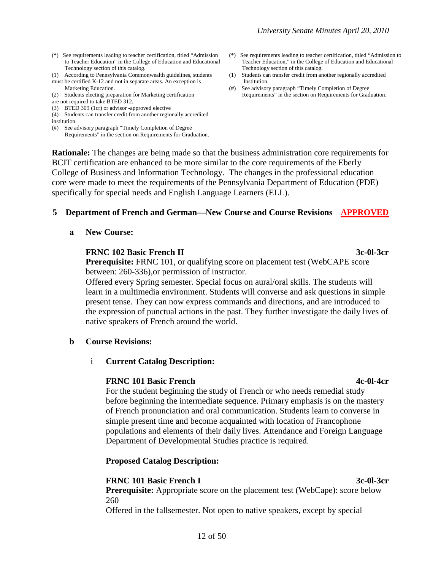- (\*) See requirements leading to teacher certification, titled "Admission to Teacher Education" in the College of Education and Educational Technology section of this catalog.
- (1) According to Pennsylvania Commonwealth guidelines, students
- must be certified K-12 and not in separate areas. An exception is Marketing Education.
- (2) Students electing preparation for Marketing certification are not required to take BTED 312.
- (3) BTED 309 (1cr) or advisor -approved elective
- (4) Students can transfer credit from another regionally accredited institution.
- (#) See advisory paragraph "Timely Completion of Degree Requirements" in the section on Requirements for Graduation.
- (\*) See requirements leading to teacher certification, titled "Admission to Teacher Education," in the College of Education and Educational Technology section of this catalog.
- (1) Students can transfer credit from another regionally accredited Institution.
- (#) See advisory paragraph "Timely Completion of Degree Requirements" in the section on Requirements for Graduation.

**Rationale:** The changes are being made so that the business administration core requirements for BCIT certification are enhanced to be more similar to the core requirements of the Eberly College of Business and Information Technology. The changes in the professional education core were made to meet the requirements of the Pennsylvania Department of Education (PDE) specifically for special needs and English Language Learners (ELL).

### **5 Department of French and German—New Course and Course Revisions APPROVED**

**a New Course:**

#### **FRNC 102 Basic French II 3c-0l-3cr**

**Prerequisite:** FRNC 101, or qualifying score on placement test (WebCAPE score between: 260-336),or permission of instructor.

Offered every Spring semester. Special focus on aural/oral skills. The students will learn in a multimedia environment. Students will converse and ask questions in simple present tense. They can now express commands and directions, and are introduced to the expression of punctual actions in the past. They further investigate the daily lives of native speakers of French around the world.

#### **b Course Revisions:**

### i **Current Catalog Description:**

#### **FRNC 101 Basic French 4c-0l-4cr**

For the student beginning the study of French or who needs remedial study before beginning the intermediate sequence. Primary emphasis is on the mastery of French pronunciation and oral communication. Students learn to converse in simple present time and become acquainted with location of Francophone populations and elements of their daily lives. Attendance and Foreign Language Department of Developmental Studies practice is required.

### **Proposed Catalog Description:**

#### **FRNC 101 Basic French I 3c-0l-3cr**

**Prerequisite:** Appropriate score on the placement test (WebCape): score below 260

Offered in the fallsemester. Not open to native speakers, except by special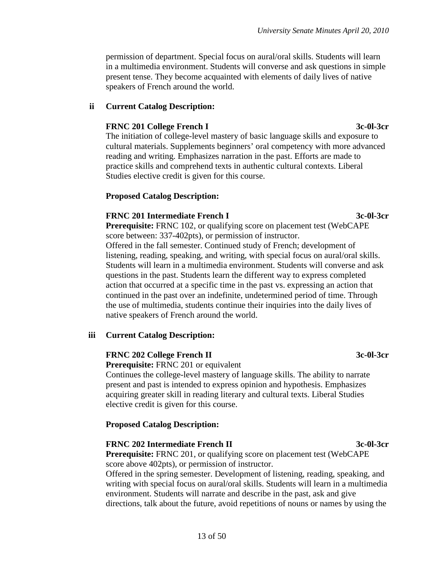permission of department. Special focus on aural/oral skills. Students will learn in a multimedia environment. Students will converse and ask questions in simple present tense. They become acquainted with elements of daily lives of native speakers of French around the world.

## **ii Current Catalog Description:**

## **FRNC 201 College French I 3c-0l-3cr**

The initiation of college-level mastery of basic language skills and exposure to cultural materials. Supplements beginners' oral competency with more advanced reading and writing. Emphasizes narration in the past. Efforts are made to practice skills and comprehend texts in authentic cultural contexts. Liberal Studies elective credit is given for this course.

# **Proposed Catalog Description:**

# **FRNC 201 Intermediate French I 3c-0l-3cr**

**Prerequisite:** FRNC 102, or qualifying score on placement test (WebCAPE score between: 337-402pts), or permission of instructor. Offered in the fall semester. Continued study of French; development of listening, reading, speaking, and writing, with special focus on aural/oral skills. Students will learn in a multimedia environment. Students will converse and ask questions in the past. Students learn the different way to express completed action that occurred at a specific time in the past vs. expressing an action that continued in the past over an indefinite, undetermined period of time. Through the use of multimedia, students continue their inquiries into the daily lives of native speakers of French around the world.

# **iii Current Catalog Description:**

# **FRNC 202 College French II 3c-0l-3cr**

**Prerequisite:** FRNC 201 or equivalent

Continues the college-level mastery of language skills. The ability to narrate present and past is intended to express opinion and hypothesis. Emphasizes acquiring greater skill in reading literary and cultural texts. Liberal Studies elective credit is given for this course.

### **Proposed Catalog Description:**

### **FRNC 202 Intermediate French II 3c-0l-3cr**

**Prerequisite:** FRNC 201, or qualifying score on placement test (WebCAPE score above 402pts), or permission of instructor.

Offered in the spring semester. Development of listening, reading, speaking, and writing with special focus on aural/oral skills. Students will learn in a multimedia environment. Students will narrate and describe in the past, ask and give directions, talk about the future, avoid repetitions of nouns or names by using the

13 of 50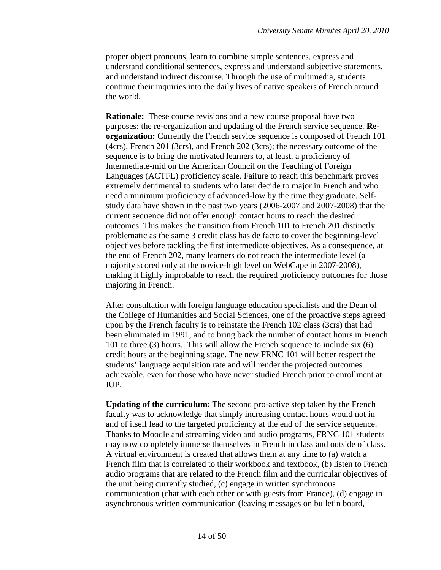proper object pronouns, learn to combine simple sentences, express and understand conditional sentences, express and understand subjective statements, and understand indirect discourse. Through the use of multimedia, students continue their inquiries into the daily lives of native speakers of French around the world.

**Rationale:** These course revisions and a new course proposal have two purposes: the re-organization and updating of the French service sequence. **Reorganization:** Currently the French service sequence is composed of French 101 (4crs), French 201 (3crs), and French 202 (3crs); the necessary outcome of the sequence is to bring the motivated learners to, at least, a proficiency of Intermediate-mid on the American Council on the Teaching of Foreign Languages (ACTFL) proficiency scale. Failure to reach this benchmark proves extremely detrimental to students who later decide to major in French and who need a minimum proficiency of advanced-low by the time they graduate. Selfstudy data have shown in the past two years (2006-2007 and 2007-2008) that the current sequence did not offer enough contact hours to reach the desired outcomes. This makes the transition from French 101 to French 201 distinctly problematic as the same 3 credit class has de facto to cover the beginning-level objectives before tackling the first intermediate objectives. As a consequence, at the end of French 202, many learners do not reach the intermediate level (a majority scored only at the novice-high level on WebCape in 2007-2008), making it highly improbable to reach the required proficiency outcomes for those majoring in French.

After consultation with foreign language education specialists and the Dean of the College of Humanities and Social Sciences, one of the proactive steps agreed upon by the French faculty is to reinstate the French 102 class (3crs) that had been eliminated in 1991, and to bring back the number of contact hours in French 101 to three (3) hours. This will allow the French sequence to include six (6) credit hours at the beginning stage. The new FRNC 101 will better respect the students' language acquisition rate and will render the projected outcomes achievable, even for those who have never studied French prior to enrollment at IUP.

**Updating of the curriculum:** The second pro-active step taken by the French faculty was to acknowledge that simply increasing contact hours would not in and of itself lead to the targeted proficiency at the end of the service sequence. Thanks to Moodle and streaming video and audio programs, FRNC 101 students may now completely immerse themselves in French in class and outside of class. A virtual environment is created that allows them at any time to (a) watch a French film that is correlated to their workbook and textbook, (b) listen to French audio programs that are related to the French film and the curricular objectives of the unit being currently studied, (c) engage in written synchronous communication (chat with each other or with guests from France), (d) engage in asynchronous written communication (leaving messages on bulletin board,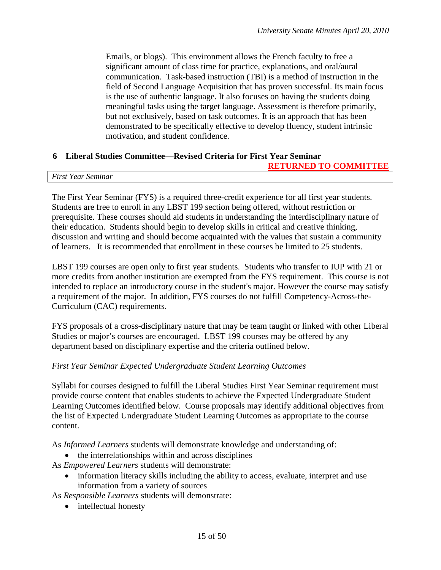Emails, or blogs). This environment allows the French faculty to free a significant amount of class time for practice, explanations, and oral/aural communication. Task-based instruction (TBI) is a method of instruction in the field of Second Language Acquisition that has proven successful. Its main focus is the use of authentic language. It also focuses on having the students doing meaningful tasks using the target language. Assessment is therefore primarily, but not exclusively, based on task outcomes. It is an approach that has been demonstrated to be specifically effective to develop fluency, student intrinsic motivation, and student confidence.

### **6 Liberal Studies Committee—Revised Criteria for First Year Seminar RETURNED TO COMMITTEE**

#### *First Year Seminar*

The First Year Seminar (FYS) is a required three-credit experience for all first year students. Students are free to enroll in any LBST 199 section being offered, without restriction or prerequisite. These courses should aid students in understanding the interdisciplinary nature of their education. Students should begin to develop skills in critical and creative thinking, discussion and writing and should become acquainted with the values that sustain a community of learners. It is recommended that enrollment in these courses be limited to 25 students.

LBST 199 courses are open only to first year students. Students who transfer to IUP with 21 or more credits from another institution are exempted from the FYS requirement. This course is not intended to replace an introductory course in the student's major. However the course may satisfy a requirement of the major. In addition, FYS courses do not fulfill Competency-Across-the-Curriculum (CAC) requirements.

FYS proposals of a cross-disciplinary nature that may be team taught or linked with other Liberal Studies or major's courses are encouraged. LBST 199 courses may be offered by any department based on disciplinary expertise and the criteria outlined below.

# *First Year Seminar Expected Undergraduate Student Learning Outcomes*

Syllabi for courses designed to fulfill the Liberal Studies First Year Seminar requirement must provide course content that enables students to achieve the Expected Undergraduate Student Learning Outcomes identified below. Course proposals may identify additional objectives from the list of Expected Undergraduate Student Learning Outcomes as appropriate to the course content.

As *Informed Learners* students will demonstrate knowledge and understanding of:

• the interrelationships within and across disciplines

As *Empowered Learners* students will demonstrate:

• information literacy skills including the ability to access, evaluate, interpret and use information from a variety of sources

As *Responsible Learners* students will demonstrate:

• intellectual honesty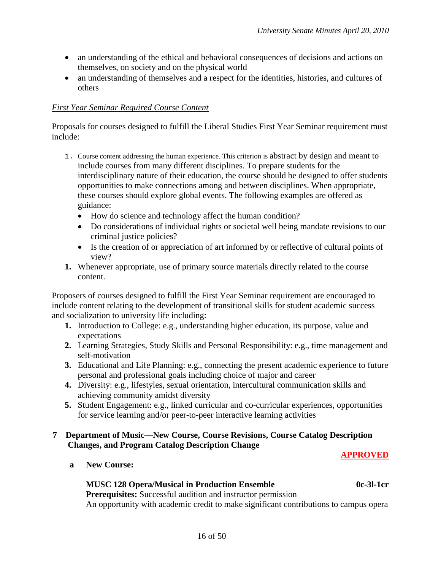- an understanding of the ethical and behavioral consequences of decisions and actions on themselves, on society and on the physical world
- an understanding of themselves and a respect for the identities, histories, and cultures of others

# *First Year Seminar Required Course Content*

Proposals for courses designed to fulfill the Liberal Studies First Year Seminar requirement must include:

- 1. Course content addressing the human experience. This criterion is abstract by design and meant to include courses from many different disciplines. To prepare students for the interdisciplinary nature of their education, the course should be designed to offer students opportunities to make connections among and between disciplines. When appropriate, these courses should explore global events. The following examples are offered as guidance:
	- How do science and technology affect the human condition?
	- Do considerations of individual rights or societal well being mandate revisions to our criminal justice policies?
	- Is the creation of or appreciation of art informed by or reflective of cultural points of view?
- **1.** Whenever appropriate, use of primary source materials directly related to the course content.

Proposers of courses designed to fulfill the First Year Seminar requirement are encouraged to include content relating to the development of transitional skills for student academic success and socialization to university life including:

- **1.** Introduction to College: e.g., understanding higher education, its purpose, value and expectations
- **2.** Learning Strategies, Study Skills and Personal Responsibility: e.g., time management and self-motivation
- **3.** Educational and Life Planning: e.g., connecting the present academic experience to future personal and professional goals including choice of major and career
- **4.** Diversity: e.g., lifestyles, sexual orientation, intercultural communication skills and achieving community amidst diversity
- **5.** Student Engagement: e.g., linked curricular and co-curricular experiences, opportunities for service learning and/or peer-to-peer interactive learning activities

# **7 Department of Music—New Course, Course Revisions, Course Catalog Description Changes, and Program Catalog Description Change**

# **APPROVED**

**a New Course:**

# **MUSC 128 Opera/Musical in Production Ensemble 0c-3l-1cr**

**Prerequisites:** Successful audition and instructor permission An opportunity with academic credit to make significant contributions to campus opera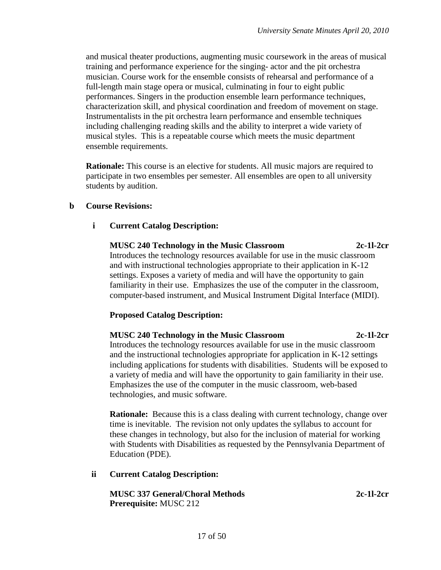and musical theater productions, augmenting music coursework in the areas of musical training and performance experience for the singing- actor and the pit orchestra musician. Course work for the ensemble consists of rehearsal and performance of a full-length main stage opera or musical, culminating in four to eight public performances. Singers in the production ensemble learn performance techniques, characterization skill, and physical coordination and freedom of movement on stage. Instrumentalists in the pit orchestra learn performance and ensemble techniques including challenging reading skills and the ability to interpret a wide variety of musical styles. This is a repeatable course which meets the music department ensemble requirements.

**Rationale:** This course is an elective for students. All music majors are required to participate in two ensembles per semester. All ensembles are open to all university students by audition.

### **b Course Revisions:**

# **i Current Catalog Description:**

**MUSC 240 Technology in the Music Classroom 2c-1l-2cr** Introduces the technology resources available for use in the music classroom and with instructional technologies appropriate to their application in K-12 settings. Exposes a variety of media and will have the opportunity to gain familiarity in their use. Emphasizes the use of the computer in the classroom, computer-based instrument, and Musical Instrument Digital Interface (MIDI).

# **Proposed Catalog Description:**

### **MUSC 240 Technology in the Music Classroom 2c-1l-2cr**

Introduces the technology resources available for use in the music classroom and the instructional technologies appropriate for application in K-12 settings including applications for students with disabilities. Students will be exposed to a variety of media and will have the opportunity to gain familiarity in their use. Emphasizes the use of the computer in the music classroom, web-based technologies, and music software.

**Rationale:** Because this is a class dealing with current technology, change over time is inevitable. The revision not only updates the syllabus to account for these changes in technology, but also for the inclusion of material for working with Students with Disabilities as requested by the Pennsylvania Department of Education (PDE).

### **ii Current Catalog Description:**

**MUSC 337 General/Choral Methods 2c-1l-2cr Prerequisite:** MUSC 212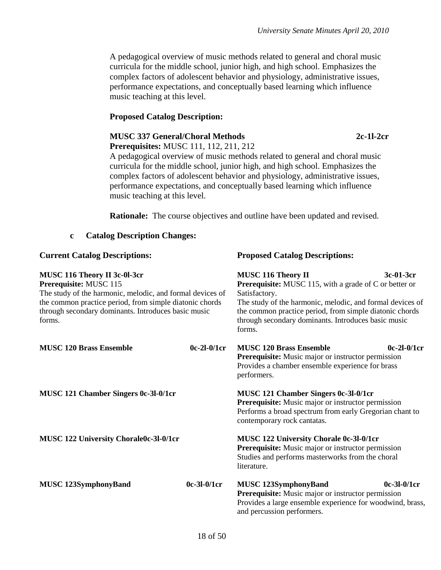A pedagogical overview of music methods related to general and choral music curricula for the middle school, junior high, and high school. Emphasizes the complex factors of adolescent behavior and physiology, administrative issues, performance expectations, and conceptually based learning which influence music teaching at this level.

#### **Proposed Catalog Description:**

# **MUSC 337 General/Choral Methods 2c-1l-2cr**

**Prerequisites:** MUSC 111, 112, 211, 212

A pedagogical overview of music methods related to general and choral music curricula for the middle school, junior high, and high school. Emphasizes the complex factors of adolescent behavior and physiology, administrative issues, performance expectations, and conceptually based learning which influence music teaching at this level.

**Rationale:** The course objectives and outline have been updated and revised.

#### **c Catalog Description Changes:**

| <b>Current Catalog Descriptions:</b>                                                                                                                                                                                                            |               | <b>Proposed Catalog Descriptions:</b>                                                                                                                                                                                                                                                                             |               |  |
|-------------------------------------------------------------------------------------------------------------------------------------------------------------------------------------------------------------------------------------------------|---------------|-------------------------------------------------------------------------------------------------------------------------------------------------------------------------------------------------------------------------------------------------------------------------------------------------------------------|---------------|--|
| MUSC 116 Theory II 3c-0l-3cr<br>Prerequisite: MUSC 115<br>The study of the harmonic, melodic, and formal devices of<br>the common practice period, from simple diatonic chords<br>through secondary dominants. Introduces basic music<br>forms. |               | <b>MUSC 116 Theory II</b><br>3c-01-3cr<br><b>Prerequisite:</b> MUSC 115, with a grade of C or better or<br>Satisfactory.<br>The study of the harmonic, melodic, and formal devices of<br>the common practice period, from simple diatonic chords<br>through secondary dominants. Introduces basic music<br>forms. |               |  |
| <b>MUSC 120 Brass Ensemble</b>                                                                                                                                                                                                                  | $0c-2l-0/1cr$ | <b>MUSC 120 Brass Ensemble</b><br><b>Prerequisite:</b> Music major or instructor permission<br>Provides a chamber ensemble experience for brass<br>performers.                                                                                                                                                    | $0c-2l-0/1cr$ |  |
| MUSC 121 Chamber Singers 0c-3l-0/1cr                                                                                                                                                                                                            |               | MUSC 121 Chamber Singers 0c-3l-0/1cr<br>Prerequisite: Music major or instructor permission<br>Performs a broad spectrum from early Gregorian chant to<br>contemporary rock cantatas.                                                                                                                              |               |  |
| MUSC 122 University Chorale0c-3l-0/1cr                                                                                                                                                                                                          |               | MUSC 122 University Chorale 0c-3l-0/1cr<br>Prerequisite: Music major or instructor permission<br>Studies and performs masterworks from the choral<br>literature.                                                                                                                                                  |               |  |
| <b>MUSC 123SymphonyBand</b><br>$0c-3l-0/1cr$                                                                                                                                                                                                    |               | $0c-3l-0/1cr$<br><b>MUSC 123SymphonyBand</b><br>Prerequisite: Music major or instructor permission<br>Provides a large ensemble experience for woodwind, brass,<br>and percussion performers.                                                                                                                     |               |  |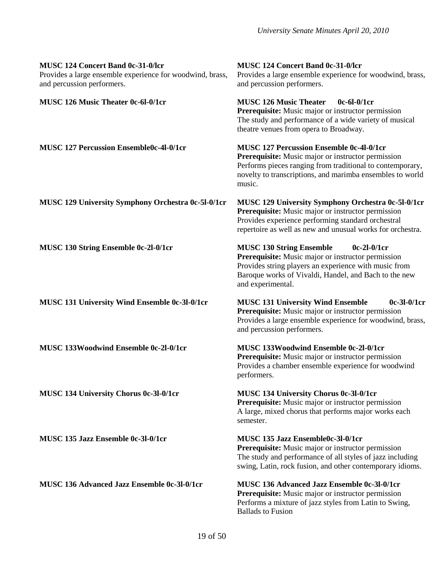| MUSC 124 Concert Band 0c-31-0/lcr<br>Provides a large ensemble experience for woodwind, brass,<br>and percussion performers. | MUSC 124 Concert Band 0c-31-0/lcr<br>Provides a large ensemble experience for woodwind, brass,<br>and percussion performers.                                                                                                                  |
|------------------------------------------------------------------------------------------------------------------------------|-----------------------------------------------------------------------------------------------------------------------------------------------------------------------------------------------------------------------------------------------|
| <b>MUSC 126 Music Theater 0c-6l-0/1cr</b>                                                                                    | <b>MUSC 126 Music Theater</b><br>$0c-6l-0/1cr$<br>Prerequisite: Music major or instructor permission<br>The study and performance of a wide variety of musical<br>theatre venues from opera to Broadway.                                      |
| MUSC 127 Percussion Ensemble0c-4l-0/1cr                                                                                      | MUSC 127 Percussion Ensemble 0c-4l-0/1cr<br>Prerequisite: Music major or instructor permission<br>Performs pieces ranging from traditional to contemporary,<br>novelty to transcriptions, and marimba ensembles to world<br>music.            |
| <b>MUSC 129 University Symphony Orchestra 0c-51-0/1cr</b>                                                                    | <b>MUSC 129 University Symphony Orchestra 0c-51-0/1cr</b><br>Prerequisite: Music major or instructor permission<br>Provides experience performing standard orchestral<br>repertoire as well as new and unusual works for orchestra.           |
| MUSC 130 String Ensemble 0c-2l-0/1cr                                                                                         | <b>MUSC 130 String Ensemble</b><br>$0c-2l-0/1cr$<br>Prerequisite: Music major or instructor permission<br>Provides string players an experience with music from<br>Baroque works of Vivaldi, Handel, and Bach to the new<br>and experimental. |
| MUSC 131 University Wind Ensemble 0c-3l-0/1cr                                                                                | <b>MUSC 131 University Wind Ensemble</b><br>$0c-3l-0/1cr$<br>Prerequisite: Music major or instructor permission<br>Provides a large ensemble experience for woodwind, brass,<br>and percussion performers.                                    |
| MUSC 133Woodwind Ensemble 0c-2l-0/1cr                                                                                        | MUSC 133Woodwind Ensemble 0c-2l-0/1cr<br>Prerequisite: Music major or instructor permission<br>Provides a chamber ensemble experience for woodwind<br>performers.                                                                             |
| MUSC 134 University Chorus 0c-3l-0/1cr                                                                                       | MUSC 134 University Chorus 0c-3l-0/1cr<br>Prerequisite: Music major or instructor permission<br>A large, mixed chorus that performs major works each<br>semester.                                                                             |
| MUSC 135 Jazz Ensemble 0c-31-0/1cr                                                                                           | MUSC 135 Jazz Ensemble0c-3l-0/1cr<br>Prerequisite: Music major or instructor permission<br>The study and performance of all styles of jazz including<br>swing, Latin, rock fusion, and other contemporary idioms.                             |
| <b>MUSC 136 Advanced Jazz Ensemble 0c-31-0/1cr</b>                                                                           | MUSC 136 Advanced Jazz Ensemble 0c-31-0/1cr<br>Prerequisite: Music major or instructor permission<br>Performs a mixture of jazz styles from Latin to Swing,<br><b>Ballads</b> to Fusion                                                       |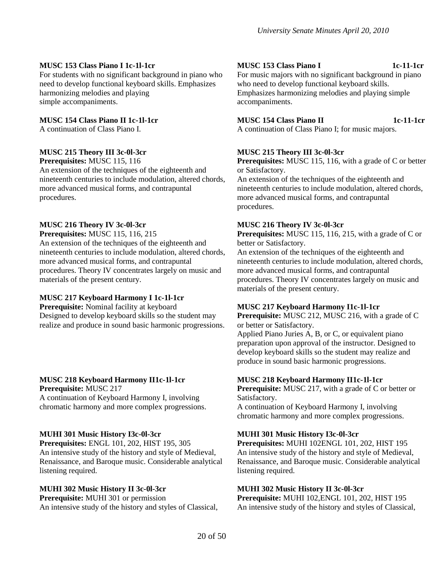#### **MUSC 153 Class Piano I 1c-1l-1cr**

For students with no significant background in piano who need to develop functional keyboard skills. Emphasizes harmonizing melodies and playing simple accompaniments.

#### **MUSC 154 Class Piano II 1c-1l-1cr**

A continuation of Class Piano I.

# **MUSC 215 Theory III 3c-0l-3cr**

**Prerequisites:** MUSC 115, 116

An extension of the techniques of the eighteenth and nineteenth centuries to include modulation, altered chords, more advanced musical forms, and contrapuntal procedures.

# **MUSC 216 Theory IV 3c-0l-3cr**

**Prerequisites:** MUSC 115, 116, 215

An extension of the techniques of the eighteenth and nineteenth centuries to include modulation, altered chords, more advanced musical forms, and contrapuntal procedures. Theory IV concentrates largely on music and materials of the present century.

### **MUSC 217 Keyboard Harmony I 1c-1l-1cr**

**Prerequisite:** Nominal facility at keyboard Designed to develop keyboard skills so the student may realize and produce in sound basic harmonic progressions.

### **MUSC 218 Keyboard Harmony II1c-1l-1cr**

**Prerequisite:** MUSC 217 A continuation of Keyboard Harmony I, involving chromatic harmony and more complex progressions.

### **MUHI 301 Music History I3c-0l-3cr**

**Prerequisites:** ENGL 101, 202, HIST 195, 305 An intensive study of the history and style of Medieval, Renaissance, and Baroque music. Considerable analytical listening required.

### **MUHI 302 Music History II 3c-0l-3cr**

**Prerequisite:** MUHI 301 or permission An intensive study of the history and styles of Classical,

#### **MUSC 153 Class Piano I 1c-11-1cr**

For music majors with no significant background in piano who need to develop functional keyboard skills. Emphasizes harmonizing melodies and playing simple accompaniments.

# **MUSC 154 Class Piano II** 1c-11-1cr

A continuation of Class Piano I; for music majors.

### **MUSC 215 Theory III 3c-0l-3cr**

**Prerequisites:** MUSC 115, 116, with a grade of C or better or Satisfactory.

An extension of the techniques of the eighteenth and nineteenth centuries to include modulation, altered chords, more advanced musical forms, and contrapuntal procedures.

### **MUSC 216 Theory IV 3c-0l-3cr**

**Prerequisites:** MUSC 115, 116, 215, with a grade of C or better or Satisfactory.

An extension of the techniques of the eighteenth and nineteenth centuries to include modulation, altered chords, more advanced musical forms, and contrapuntal procedures. Theory IV concentrates largely on music and materials of the present century.

# **MUSC 217 Keyboard Harmony I1c-1l-1cr**

**Prerequisite:** MUSC 212, MUSC 216, with a grade of C or better or Satisfactory.

Applied Piano Juries A, B, or C, or equivalent piano preparation upon approval of the instructor. Designed to develop keyboard skills so the student may realize and produce in sound basic harmonic progressions.

### **MUSC 218 Keyboard Harmony II1c-1l-1cr**

**Prerequisite:** MUSC 217, with a grade of C or better or Satisfactory.

A continuation of Keyboard Harmony I, involving chromatic harmony and more complex progressions.

### **MUHI 301 Music History I3c-0l-3cr**

**Prerequisites:** MUHI 102ENGL 101, 202, HIST 195 An intensive study of the history and style of Medieval, Renaissance, and Baroque music. Considerable analytical listening required.

### **MUHI 302 Music History II 3c-0l-3cr**

**Prerequisite:** MUHI 102,ENGL 101, 202, HIST 195 An intensive study of the history and styles of Classical,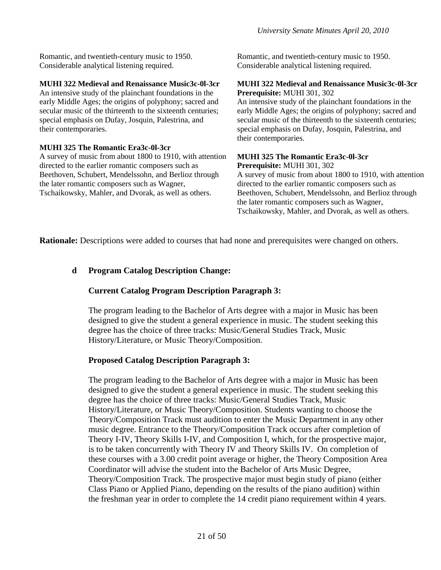Romantic, and twentieth-century music to 1950. Considerable analytical listening required.

## **MUHI 322 Medieval and Renaissance Music3c-0l-3cr**

An intensive study of the plainchant foundations in the early Middle Ages; the origins of polyphony; sacred and secular music of the thirteenth to the sixteenth centuries; special emphasis on Dufay, Josquin, Palestrina, and their contemporaries.

### **MUHI 325 The Romantic Era3c-0l-3cr**

A survey of music from about 1800 to 1910, with attention directed to the earlier romantic composers such as Beethoven, Schubert, Mendelssohn, and Berlioz through the later romantic composers such as Wagner, Tschaikowsky, Mahler, and Dvorak, as well as others.

Romantic, and twentieth-century music to 1950. Considerable analytical listening required.

#### **MUHI 322 Medieval and Renaissance Music3c-0l-3cr Prerequisite:** MUHI 301, 302

An intensive study of the plainchant foundations in the early Middle Ages; the origins of polyphony; sacred and secular music of the thirteenth to the sixteenth centuries; special emphasis on Dufay, Josquin, Palestrina, and their contemporaries.

#### **MUHI 325 The Romantic Era3c-0l-3cr Prerequisite:** MUHI 301, 302

A survey of music from about 1800 to 1910, with attention directed to the earlier romantic composers such as Beethoven, Schubert, Mendelssohn, and Berlioz through the later romantic composers such as Wagner, Tschaikowsky, Mahler, and Dvorak, as well as others.

**Rationale:** Descriptions were added to courses that had none and prerequisites were changed on others.

# **d Program Catalog Description Change:**

# **Current Catalog Program Description Paragraph 3:**

The program leading to the Bachelor of Arts degree with a major in Music has been designed to give the student a general experience in music. The student seeking this degree has the choice of three tracks: Music/General Studies Track, Music History/Literature, or Music Theory/Composition.

# **Proposed Catalog Description Paragraph 3:**

The program leading to the Bachelor of Arts degree with a major in Music has been designed to give the student a general experience in music. The student seeking this degree has the choice of three tracks: Music/General Studies Track, Music History/Literature, or Music Theory/Composition. Students wanting to choose the Theory/Composition Track must audition to enter the Music Department in any other music degree. Entrance to the Theory/Composition Track occurs after completion of Theory I-IV, Theory Skills I-IV, and Composition I, which, for the prospective major, is to be taken concurrently with Theory IV and Theory Skills IV. On completion of these courses with a 3.00 credit point average or higher, the Theory Composition Area Coordinator will advise the student into the Bachelor of Arts Music Degree, Theory/Composition Track. The prospective major must begin study of piano (either Class Piano or Applied Piano, depending on the results of the piano audition) within the freshman year in order to complete the 14 credit piano requirement within 4 years.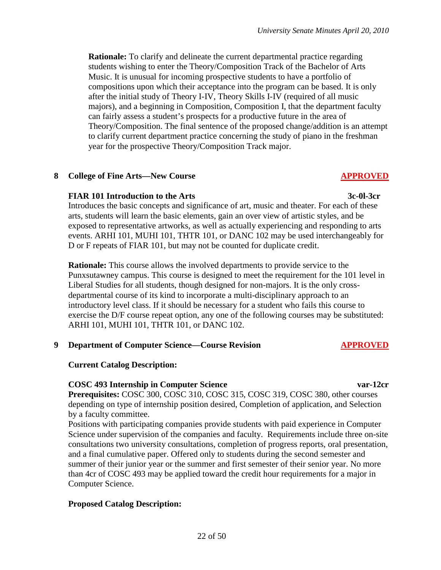**Rationale:** To clarify and delineate the current departmental practice regarding students wishing to enter the Theory/Composition Track of the Bachelor of Arts Music. It is unusual for incoming prospective students to have a portfolio of compositions upon which their acceptance into the program can be based. It is only after the initial study of Theory I-IV, Theory Skills I-IV (required of all music majors), and a beginning in Composition, Composition I, that the department faculty can fairly assess a student's prospects for a productive future in the area of Theory/Composition. The final sentence of the proposed change/addition is an attempt to clarify current department practice concerning the study of piano in the freshman year for the prospective Theory/Composition Track major.

# **8 College of Fine Arts—New Course APPROVED**

#### **FIAR 101 Introduction to the Arts 3c-0l-3cr**

Introduces the basic concepts and significance of art, music and theater. For each of these arts, students will learn the basic elements, gain an over view of artistic styles, and be exposed to representative artworks, as well as actually experiencing and responding to arts events. ARHI 101, MUHI 101, THTR 101, or DANC 102 may be used interchangeably for D or F repeats of FIAR 101, but may not be counted for duplicate credit.

**Rationale:** This course allows the involved departments to provide service to the Punxsutawney campus. This course is designed to meet the requirement for the 101 level in Liberal Studies for all students, though designed for non-majors. It is the only crossdepartmental course of its kind to incorporate a multi-disciplinary approach to an introductory level class. If it should be necessary for a student who fails this course to exercise the D/F course repeat option, any one of the following courses may be substituted: ARHI 101, MUHI 101, THTR 101, or DANC 102.

### **9 Department of Computer Science—Course Revision APPROVED**

### **Current Catalog Description:**

#### **COSC 493 Internship in Computer Science var-12cr**

**Prerequisites:** COSC 300, COSC 310, COSC 315, COSC 319, COSC 380, other courses depending on type of internship position desired, Completion of application, and Selection by a faculty committee.

Positions with participating companies provide students with paid experience in Computer Science under supervision of the companies and faculty. Requirements include three on-site consultations two university consultations, completion of progress reports, oral presentation, and a final cumulative paper. Offered only to students during the second semester and summer of their junior year or the summer and first semester of their senior year. No more than 4cr of COSC 493 may be applied toward the credit hour requirements for a major in Computer Science.

# **Proposed Catalog Description:**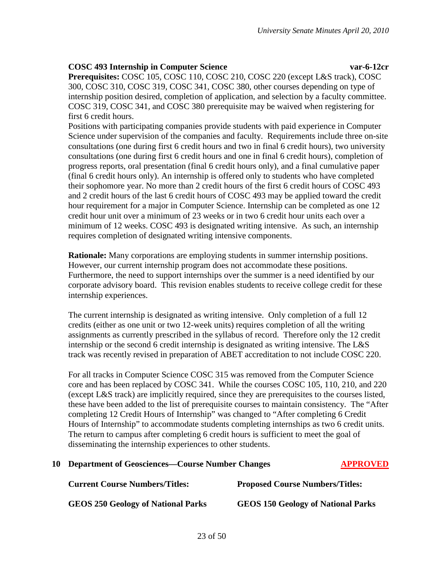## **COSC 493 Internship in Computer Science var-6-12cr**

**Prerequisites:** COSC 105, COSC 110, COSC 210, COSC 220 (except L&S track), COSC 300, COSC 310, COSC 319, COSC 341, COSC 380, other courses depending on type of internship position desired, completion of application, and selection by a faculty committee. COSC 319, COSC 341, and COSC 380 prerequisite may be waived when registering for first 6 credit hours.

Positions with participating companies provide students with paid experience in Computer Science under supervision of the companies and faculty. Requirements include three on-site consultations (one during first 6 credit hours and two in final 6 credit hours), two university consultations (one during first 6 credit hours and one in final 6 credit hours), completion of progress reports, oral presentation (final 6 credit hours only), and a final cumulative paper (final 6 credit hours only). An internship is offered only to students who have completed their sophomore year. No more than 2 credit hours of the first 6 credit hours of COSC 493 and 2 credit hours of the last 6 credit hours of COSC 493 may be applied toward the credit hour requirement for a major in Computer Science. Internship can be completed as one 12 credit hour unit over a minimum of 23 weeks or in two 6 credit hour units each over a minimum of 12 weeks. COSC 493 is designated writing intensive. As such, an internship requires completion of designated writing intensive components.

**Rationale:** Many corporations are employing students in summer internship positions. However, our current internship program does not accommodate these positions. Furthermore, the need to support internships over the summer is a need identified by our corporate advisory board. This revision enables students to receive college credit for these internship experiences.

The current internship is designated as writing intensive. Only completion of a full 12 credits (either as one unit or two 12-week units) requires completion of all the writing assignments as currently prescribed in the syllabus of record. Therefore only the 12 credit internship or the second 6 credit internship is designated as writing intensive. The L&S track was recently revised in preparation of ABET accreditation to not include COSC 220.

For all tracks in Computer Science COSC 315 was removed from the Computer Science core and has been replaced by COSC 341. While the courses COSC 105, 110, 210, and 220 (except L&S track) are implicitly required, since they are prerequisites to the courses listed, these have been added to the list of prerequisite courses to maintain consistency. The "After completing 12 Credit Hours of Internship" was changed to "After completing 6 Credit Hours of Internship" to accommodate students completing internships as two 6 credit units. The return to campus after completing 6 credit hours is sufficient to meet the goal of disseminating the internship experiences to other students.

# 10 **Department of Geosciences—Course Number Changes APPROVED**

**Current Course Numbers/Titles: Proposed Course Numbers/Titles:**

**GEOS 250 Geology of National Parks GEOS 150 Geology of National Parks**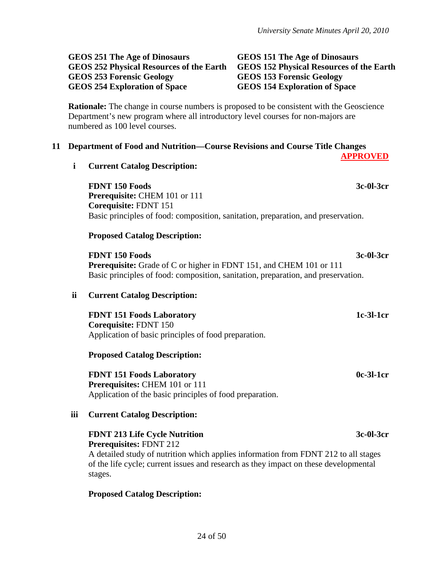# **GEOS 251 The Age of Dinosaurs GEOS 252 Physical Resources of the Earth GEOS 253 Forensic Geology GEOS 254 Exploration of Space**

## **GEOS 151 The Age of Dinosaurs GEOS 152 Physical Resources of the Earth GEOS 153 Forensic Geology GEOS 154 Exploration of Space**

**APPROVED**

**Rationale:** The change in course numbers is proposed to be consistent with the Geoscience Department's new program where all introductory level courses for non-majors are numbered as 100 level courses.

# **11 Department of Food and Nutrition—Course Revisions and Course Title Changes**

**i Current Catalog Description:**

**FDNT 150 Foods 3c-0l-3cr Prerequisite:** CHEM 101 or 111 **Corequisite:** FDNT 151 Basic principles of food: composition, sanitation, preparation, and preservation.

# **Proposed Catalog Description:**

**FDNT 150 Foods 3c-0l-3cr Prerequisite:** Grade of C or higher in FDNT 151, and CHEM 101 or 111 Basic principles of food: composition, sanitation, preparation, and preservation.

# **ii Current Catalog Description:**

**FDNT 151 Foods Laboratory 1c-3l-1cr Corequisite:** FDNT 150 Application of basic principles of food preparation.

# **Proposed Catalog Description:**

**FDNT 151 Foods Laboratory 0c-3l-1cr Prerequisites: CHEM 101 or 111** Application of the basic principles of food preparation.

# **iii Current Catalog Description:**

### **FDNT 213 Life Cycle Nutrition 3c-0l-3cr Prerequisites:** FDNT 212

A detailed study of nutrition which applies information from FDNT 212 to all stages of the life cycle; current issues and research as they impact on these developmental stages.

# **Proposed Catalog Description:**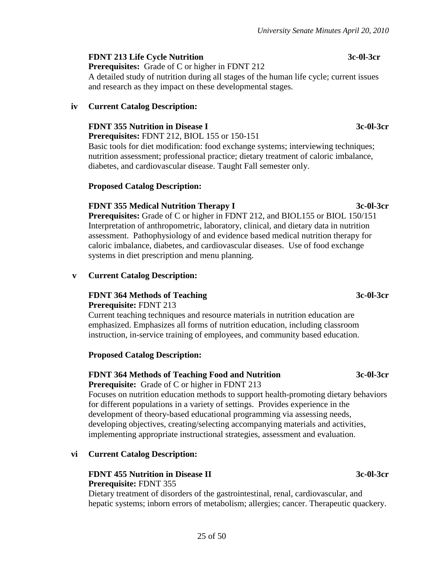# **FDNT 213 Life Cycle Nutrition 3c-0l-3cr**

**Prerequisites:** Grade of C or higher in FDNT 212 A detailed study of nutrition during all stages of the human life cycle; current issues and research as they impact on these developmental stages.

# **iv Current Catalog Description:**

# **FDNT 355 Nutrition in Disease I** 3c-0l-3cr

**Prerequisites:** FDNT 212, BIOL 155 or 150-151

Basic tools for diet modification: food exchange systems; interviewing techniques; nutrition assessment; professional practice; dietary treatment of caloric imbalance, diabetes, and cardiovascular disease. Taught Fall semester only.

# **Proposed Catalog Description:**

# **FDNT 355 Medical Nutrition Therapy I 3c-0l-3cr**

**Prerequisites:** Grade of C or higher in FDNT 212, and BIOL155 or BIOL 150/151 Interpretation of anthropometric, laboratory, clinical, and dietary data in nutrition assessment. Pathophysiology of and evidence based medical nutrition therapy for caloric imbalance, diabetes, and cardiovascular diseases. Use of food exchange systems in diet prescription and menu planning.

# **v Current Catalog Description:**

# **FDNT 364 Methods of Teaching 3c-0l-3cr**

**Prerequisite:** FDNT 213

Current teaching techniques and resource materials in nutrition education are emphasized. Emphasizes all forms of nutrition education, including classroom instruction, in-service training of employees, and community based education.

# **Proposed Catalog Description:**

# **FDNT 364 Methods of Teaching Food and Nutrition 3c-0l-3cr Prerequisite:** Grade of C or higher in FDNT 213

Focuses on nutrition education methods to support health-promoting dietary behaviors for different populations in a variety of settings. Provides experience in the development of theory-based educational programming via assessing needs, developing objectives, creating/selecting accompanying materials and activities, implementing appropriate instructional strategies, assessment and evaluation.

# **vi Current Catalog Description:**

# **FDNT 455 Nutrition in Disease II** 3c-0l-3cr

**Prerequisite:** FDNT 355

Dietary treatment of disorders of the gastrointestinal, renal, cardiovascular, and hepatic systems; inborn errors of metabolism; allergies; cancer. Therapeutic quackery.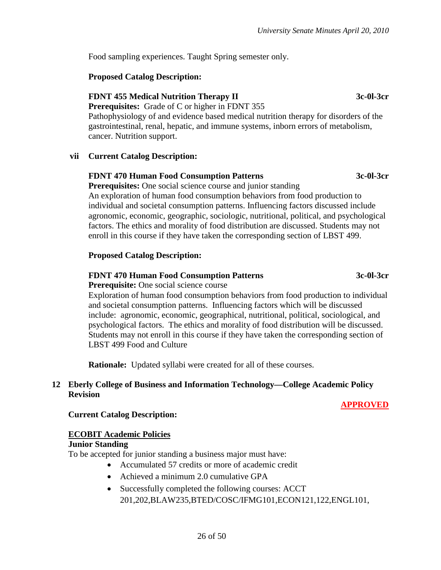Food sampling experiences. Taught Spring semester only.

# **Proposed Catalog Description:**

# **FDNT 455 Medical Nutrition Therapy II 3c-0l-3cr**

**Prerequisites:** Grade of C or higher in FDNT 355

Pathophysiology of and evidence based medical nutrition therapy for disorders of the gastrointestinal, renal, hepatic, and immune systems, inborn errors of metabolism, cancer. Nutrition support.

# **vii Current Catalog Description:**

# **FDNT 470 Human Food Consumption Patterns 3c-0l-3cr**

**Prerequisites:** One social science course and junior standing An exploration of human food consumption behaviors from food production to individual and societal consumption patterns. Influencing factors discussed include agronomic, economic, geographic, sociologic, nutritional, political, and psychological factors. The ethics and morality of food distribution are discussed. Students may not enroll in this course if they have taken the corresponding section of LBST 499.

### **Proposed Catalog Description:**

### **FDNT 470 Human Food Consumption Patterns 3c-0l-3cr**

**Prerequisite:** One social science course

Exploration of human food consumption behaviors from food production to individual and societal consumption patterns. Influencing factors which will be discussed include: agronomic, economic, geographical, nutritional, political, sociological, and psychological factors. The ethics and morality of food distribution will be discussed. Students may not enroll in this course if they have taken the corresponding section of LBST 499 Food and Culture

**Rationale:** Updated syllabi were created for all of these courses.

# **12 Eberly College of Business and Information Technology—College Academic Policy Revision**

### **Current Catalog Description:**

### **ECOBIT Academic Policies**

### **Junior Standing**

To be accepted for junior standing a business major must have:

- Accumulated 57 credits or more of academic credit
- Achieved a minimum 2.0 cumulative GPA
- Successfully completed the following courses: ACCT 201,202,BLAW235,BTED/COSC/IFMG101,ECON121,122,ENGL101,

**APPROVED**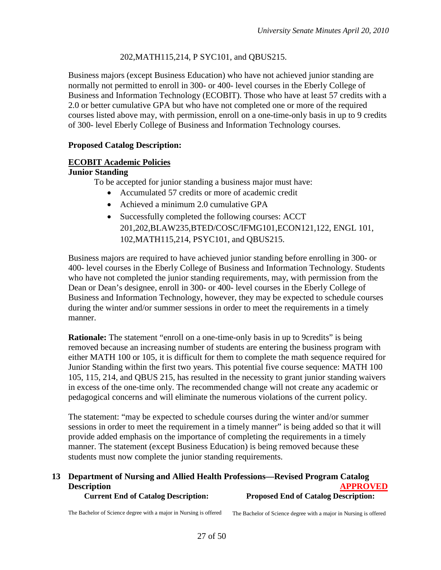# 202,MATH115,214, P SYC101, and QBUS215.

Business majors (except Business Education) who have not achieved junior standing are normally not permitted to enroll in 300- or 400- level courses in the Eberly College of Business and Information Technology (ECOBIT). Those who have at least 57 credits with a 2.0 or better cumulative GPA but who have not completed one or more of the required courses listed above may, with permission, enroll on a one-time-only basis in up to 9 credits of 300- level Eberly College of Business and Information Technology courses.

# **Proposed Catalog Description:**

# **ECOBIT Academic Policies**

### **Junior Standing**

To be accepted for junior standing a business major must have:

- Accumulated 57 credits or more of academic credit
- Achieved a minimum 2.0 cumulative GPA
- Successfully completed the following courses: ACCT 201,202,BLAW235,BTED/COSC/IFMG101,ECON121,122, ENGL 101, 102,MATH115,214, PSYC101, and QBUS215.

Business majors are required to have achieved junior standing before enrolling in 300- or 400- level courses in the Eberly College of Business and Information Technology. Students who have not completed the junior standing requirements, may, with permission from the Dean or Dean's designee, enroll in 300- or 400- level courses in the Eberly College of Business and Information Technology, however, they may be expected to schedule courses during the winter and/or summer sessions in order to meet the requirements in a timely manner.

**Rationale:** The statement "enroll on a one-time-only basis in up to 9credits" is being removed because an increasing number of students are entering the business program with either MATH 100 or 105, it is difficult for them to complete the math sequence required for Junior Standing within the first two years. This potential five course sequence: MATH 100 105, 115, 214, and QBUS 215, has resulted in the necessity to grant junior standing waivers in excess of the one-time only. The recommended change will not create any academic or pedagogical concerns and will eliminate the numerous violations of the current policy.

The statement: "may be expected to schedule courses during the winter and/or summer sessions in order to meet the requirement in a timely manner" is being added so that it will provide added emphasis on the importance of completing the requirements in a timely manner. The statement (except Business Education) is being removed because these students must now complete the junior standing requirements.

#### **13 Department of Nursing and Allied Health Professions—Revised Program Catalog Description APPROVED Current End of Catalog Description: Proposed End of Catalog Description:**

The Bachelor of Science degree with a major in Nursing is offered

The Bachelor of Science degree with a major in Nursing is offered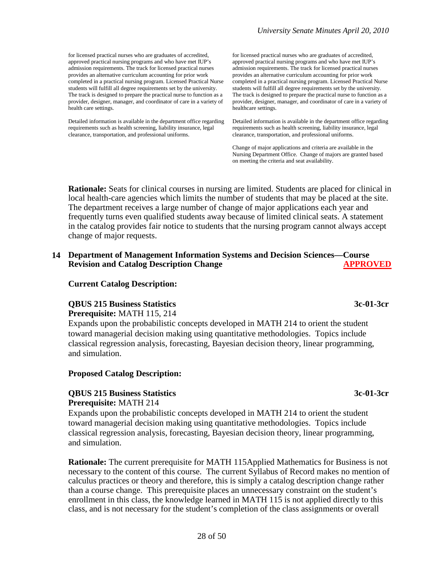for licensed practical nurses who are graduates of accredited, approved practical nursing programs and who have met IUP's admission requirements. The track for licensed practical nurses provides an alternative curriculum accounting for prior work completed in a practical nursing program. Licensed Practical Nurse students will fulfill all degree requirements set by the university. The track is designed to prepare the practical nurse to function as a provider, designer, manager, and coordinator of care in a variety of health care settings.

Detailed information is available in the department office regarding requirements such as health screening, liability insurance, legal clearance, transportation, and professional uniforms.

for licensed practical nurses who are graduates of accredited, approved practical nursing programs and who have met IUP's admission requirements. The track for licensed practical nurses provides an alternative curriculum accounting for prior work completed in a practical nursing program. Licensed Practical Nurse students will fulfill all degree requirements set by the university. The track is designed to prepare the practical nurse to function as a provider, designer, manager, and coordinator of care in a variety of healthcare settings.

Detailed information is available in the department office regarding requirements such as health screening, liability insurance, legal clearance, transportation, and professional uniforms.

Change of major applications and criteria are available in the Nursing Department Office. Change of majors are granted based on meeting the criteria and seat availability.

**Rationale:** Seats for clinical courses in nursing are limited. Students are placed for clinical in local health-care agencies which limits the number of students that may be placed at the site. The department receives a large number of change of major applications each year and frequently turns even qualified students away because of limited clinical seats. A statement in the catalog provides fair notice to students that the nursing program cannot always accept change of major requests.

# **14 Department of Management Information Systems and Decision Sciences—Course Revision and Catalog Description Change APPROVED**

### **Current Catalog Description:**

# **QBUS 215 Business Statistics 3c-01-3cr**

**Prerequisite:** MATH 115, 214

Expands upon the probabilistic concepts developed in MATH 214 to orient the student toward managerial decision making using quantitative methodologies. Topics include classical regression analysis, forecasting, Bayesian decision theory, linear programming, and simulation.

# **Proposed Catalog Description:**

#### **QBUS 215 Business Statistics 3c-01-3cr Prerequisite:** MATH 214

Expands upon the probabilistic concepts developed in MATH 214 to orient the student toward managerial decision making using quantitative methodologies. Topics include classical regression analysis, forecasting, Bayesian decision theory, linear programming, and simulation.

**Rationale:** The current prerequisite for MATH 115Applied Mathematics for Business is not necessary to the content of this course. The current Syllabus of Record makes no mention of calculus practices or theory and therefore, this is simply a catalog description change rather than a course change. This prerequisite places an unnecessary constraint on the student's enrollment in this class, the knowledge learned in MATH 115 is not applied directly to this class, and is not necessary for the student's completion of the class assignments or overall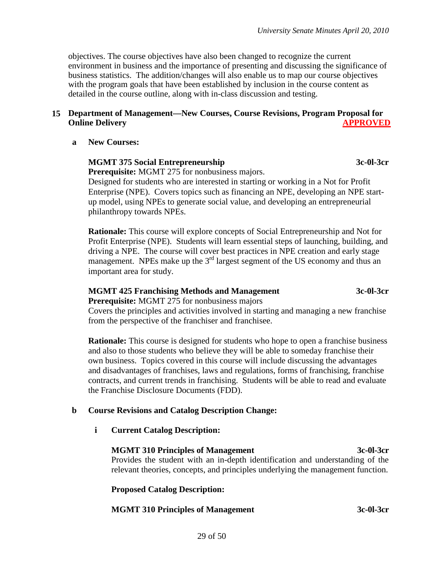objectives. The course objectives have also been changed to recognize the current environment in business and the importance of presenting and discussing the significance of business statistics. The addition/changes will also enable us to map our course objectives with the program goals that have been established by inclusion in the course content as detailed in the course outline, along with in-class discussion and testing.

### **15 Department of Management—New Courses, Course Revisions, Program Proposal for Online Delivery**

#### **a New Courses:**

### **MGMT 375 Social Entrepreneurship 3c-0l-3cr**

**Prerequisite:** MGMT 275 for nonbusiness majors.

Designed for students who are interested in starting or working in a Not for Profit Enterprise (NPE). Covers topics such as financing an NPE, developing an NPE startup model, using NPEs to generate social value, and developing an entrepreneurial philanthropy towards NPEs.

**Rationale:** This course will explore concepts of Social Entrepreneurship and Not for Profit Enterprise (NPE). Students will learn essential steps of launching, building, and driving a NPE. The course will cover best practices in NPE creation and early stage management. NPEs make up the  $3<sup>rd</sup>$  largest segment of the US economy and thus an important area for study.

### **MGMT 425 Franchising Methods and Management 3c-0l-3cr**

**Prerequisite:** MGMT 275 for nonbusiness majors

Covers the principles and activities involved in starting and managing a new franchise from the perspective of the franchiser and franchisee.

**Rationale:** This course is designed for students who hope to open a franchise business and also to those students who believe they will be able to someday franchise their own business. Topics covered in this course will include discussing the advantages and disadvantages of franchises, laws and regulations, forms of franchising, franchise contracts, and current trends in franchising. Students will be able to read and evaluate the Franchise Disclosure Documents (FDD).

# **b Course Revisions and Catalog Description Change:**

### **i Current Catalog Description:**

**MGMT 310 Principles of Management 3c-0l-3cr** Provides the student with an in-depth identification and understanding of the relevant theories, concepts, and principles underlying the management function.

### **Proposed Catalog Description:**

# **MGMT 310 Principles of Management 3c-0l-3cr**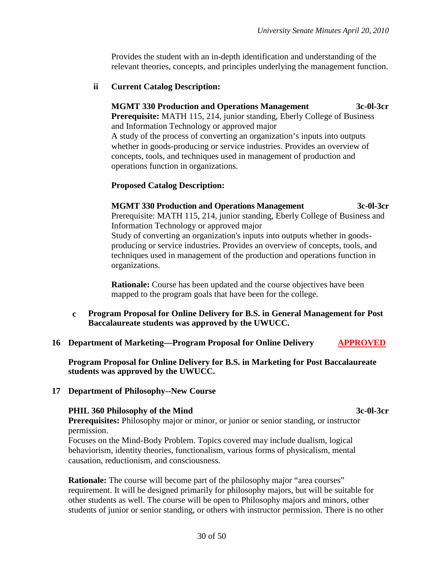Provides the student with an in-depth identification and understanding of the relevant theories, concepts, and principles underlying the management function.

# **ii Current Catalog Description:**

**MGMT 330 Production and Operations Management 3c-0l-3cr Prerequisite:** MATH 115, 214, junior standing, Eberly College of Business and Information Technology or approved major A study of the process of converting an organization's inputs into outputs whether in goods-producing or service industries. Provides an overview of concepts, tools, and techniques used in management of production and operations function in organizations.

# **Proposed Catalog Description:**

### **MGMT 330 Production and Operations Management 3c-0l-3cr**

Prerequisite: MATH 115, 214, junior standing, Eberly College of Business and Information Technology or approved major Study of converting an organization's inputs into outputs whether in goodsproducing or service industries. Provides an overview of concepts, tools, and techniques used in management of the production and operations function in organizations.

**Rationale:** Course has been updated and the course objectives have been mapped to the program goals that have been for the college.

**c Program Proposal for Online Delivery for B.S. in General Management for Post Baccalaureate students was approved by the UWUCC.**

### **16 Department of Marketing—Program Proposal for Online Delivery APPROVED**

**Program Proposal for Online Delivery for B.S. in Marketing for Post Baccalaureate students was approved by the UWUCC.**

### **17 Department of Philosophy--New Course**

### **PHIL 360 Philosophy of the Mind 3c-0l-3cr**

**Prerequisites:** Philosophy major or minor, or junior or senior standing, or instructor permission.

Focuses on the Mind-Body Problem. Topics covered may include dualism, logical behaviorism, identity theories, functionalism, various forms of physicalism, mental causation, reductionism, and consciousness.

**Rationale:** The course will become part of the philosophy major "area courses" requirement. It will be designed primarily for philosophy majors, but will be suitable for other students as well. The course will be open to Philosophy majors and minors, other students of junior or senior standing, or others with instructor permission. There is no other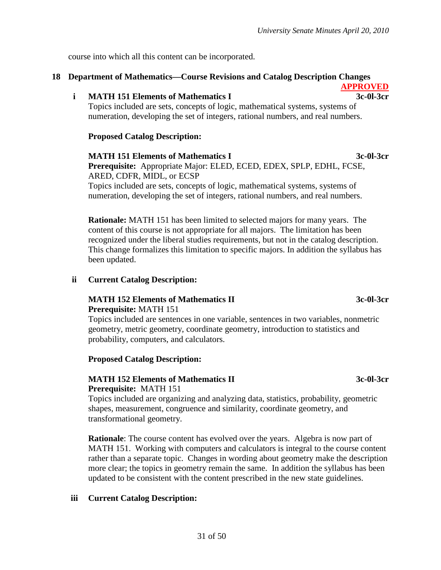course into which all this content can be incorporated.

# **18 Department of Mathematics—Course Revisions and Catalog Description Changes**

### **i MATH 151 Elements of Mathematics I 3c-0l-3cr**

Topics included are sets, concepts of logic, mathematical systems, systems of numeration, developing the set of integers, rational numbers, and real numbers.

### **Proposed Catalog Description:**

# **MATH 151 Elements of Mathematics I 3c-0l-3cr**

**Prerequisite:** Appropriate Major: ELED, ECED, EDEX, SPLP, EDHL, FCSE, ARED, CDFR, MIDL, or ECSP

Topics included are sets, concepts of logic, mathematical systems, systems of numeration, developing the set of integers, rational numbers, and real numbers.

**Rationale:** MATH 151 has been limited to selected majors for many years. The content of this course is not appropriate for all majors. The limitation has been recognized under the liberal studies requirements, but not in the catalog description. This change formalizes this limitation to specific majors. In addition the syllabus has been updated.

# **ii Current Catalog Description:**

### **MATH 152 Elements of Mathematics II** 3c-0l-3cr **Prerequisite:** MATH 151

Topics included are sentences in one variable, sentences in two variables, nonmetric geometry, metric geometry, coordinate geometry, introduction to statistics and probability, computers, and calculators.

### **Proposed Catalog Description:**

# **MATH 152 Elements of Mathematics II** 3c-0l-3cr **Prerequisite:** MATH 151

Topics included are organizing and analyzing data, statistics, probability, geometric shapes, measurement, congruence and similarity, coordinate geometry, and transformational geometry.

**Rationale**: The course content has evolved over the years. Algebra is now part of MATH 151. Working with computers and calculators is integral to the course content rather than a separate topic. Changes in wording about geometry make the description more clear; the topics in geometry remain the same. In addition the syllabus has been updated to be consistent with the content prescribed in the new state guidelines.

# **iii Current Catalog Description:**

**APPROVED**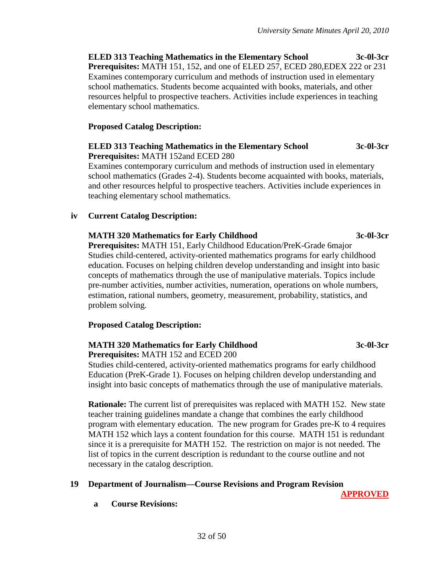**ELED 313 Teaching Mathematics in the Elementary School 3c-0l-3cr Prerequisites:** MATH 151, 152, and one of ELED 257, ECED 280,EDEX 222 or 231 Examines contemporary curriculum and methods of instruction used in elementary school mathematics. Students become acquainted with books, materials, and other resources helpful to prospective teachers. Activities include experiences in teaching elementary school mathematics.

### **Proposed Catalog Description:**

# **ELED 313 Teaching Mathematics in the Elementary School 3c-0l-3cr Prerequisites:** MATH 152and ECED 280

Examines contemporary curriculum and methods of instruction used in elementary school mathematics (Grades 2-4). Students become acquainted with books, materials, and other resources helpful to prospective teachers. Activities include experiences in teaching elementary school mathematics.

### **iv Current Catalog Description:**

#### **MATH 320 Mathematics for Early Childhood 3c-0l-3cr**

**Prerequisites:** MATH 151, Early Childhood Education/PreK-Grade 6major Studies child-centered, activity-oriented mathematics programs for early childhood education. Focuses on helping children develop understanding and insight into basic concepts of mathematics through the use of manipulative materials. Topics include pre-number activities, number activities, numeration, operations on whole numbers, estimation, rational numbers, geometry, measurement, probability, statistics, and problem solving.

#### **Proposed Catalog Description:**

# **MATH 320 Mathematics for Early Childhood 3c-0l-3cr**

**Prerequisites:** MATH 152 and ECED 200

Studies child-centered, activity-oriented mathematics programs for early childhood Education (PreK-Grade 1). Focuses on helping children develop understanding and insight into basic concepts of mathematics through the use of manipulative materials.

**Rationale:** The current list of prerequisites was replaced with MATH 152. New state teacher training guidelines mandate a change that combines the early childhood program with elementary education. The new program for Grades pre-K to 4 requires MATH 152 which lays a content foundation for this course. MATH 151 is redundant since it is a prerequisite for MATH 152. The restriction on major is not needed. The list of topics in the current description is redundant to the course outline and not necessary in the catalog description.

### **19 Department of Journalism—Course Revisions and Program Revision**

**APPROVED**

**a Course Revisions:**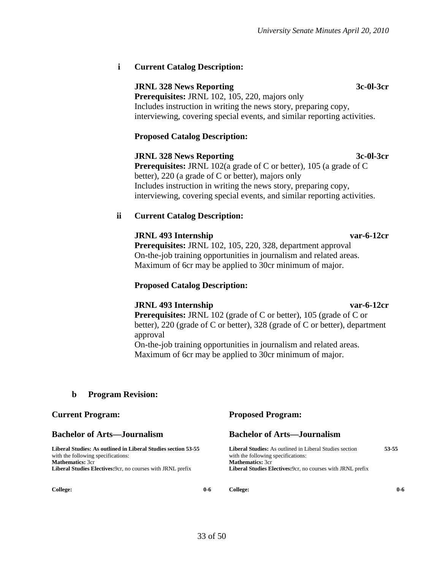## **i Current Catalog Description:**

# **JRNL 328 News Reporting 3c-0l-3cr**

**Prerequisites:** JRNL 102, 105, 220, majors only Includes instruction in writing the news story, preparing copy, interviewing, covering special events, and similar reporting activities.

#### **Proposed Catalog Description:**

**JRNL 328 News Reporting 3c-0l-3cr Prerequisites:** JRNL 102(a grade of C or better), 105 (a grade of C better), 220 (a grade of C or better), majors only Includes instruction in writing the news story, preparing copy, interviewing, covering special events, and similar reporting activities.

### **ii Current Catalog Description:**

# **JRNL 493 Internship var-6-12cr**

**Prerequisites:** JRNL 102, 105, 220, 328, department approval On-the-job training opportunities in journalism and related areas. Maximum of 6cr may be applied to 30cr minimum of major.

#### **Proposed Catalog Description:**

#### **JRNL 493 Internship var-6-12cr**

# **Prerequisites: JRNL 102 (grade of C or better), 105 (grade of C or** better), 220 (grade of C or better), 328 (grade of C or better), department approval

On-the-job training opportunities in journalism and related areas. Maximum of 6cr may be applied to 30cr minimum of major.

### **b Program Revision:**

#### **Current Program: Bachelor of Arts—Journalism Proposed Program: Bachelor of Arts—Journalism Liberal Studies: As outlined in Liberal Studies section 53-55** with the following specifications: **Mathematics:** 3cr **Liberal Studies Electives:**9cr, no courses with JRNL prefix **Liberal Studies:** As outlined in Liberal Studies section **53-55** with the following specifications: **Mathematics:** 3cr **Liberal Studies Electives:**9cr, no courses with JRNL prefix **College: 0-6 College: 0-6**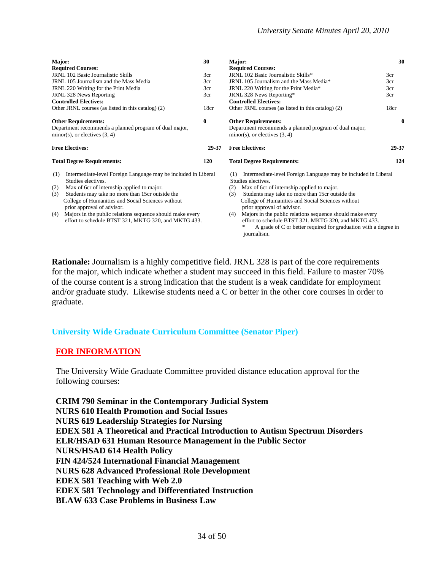| Major:<br><b>Required Courses:</b><br>JRNL 102 Basic Journalistic Skills<br>JRNL 105 Journalism and the Mass Media<br>JRNL 220 Writing for the Print Media<br>JRNL 328 News Reporting<br><b>Controlled Electives:</b>                                                                                                                                                                                                     | 30<br>3cr<br>3cr<br>3cr<br>3cr<br>18cr | Major:<br><b>Required Courses:</b><br>JRNL 102 Basic Journalistic Skills*<br>JRNL 105 Journalism and the Mass Media*<br>JRNL 220 Writing for the Print Media*<br>JRNL 328 News Reporting*<br><b>Controlled Electives:</b>                                                                                                                                                                                                                                                                                   | 30<br>3cr<br>3cr<br>3cr<br>3cr |
|---------------------------------------------------------------------------------------------------------------------------------------------------------------------------------------------------------------------------------------------------------------------------------------------------------------------------------------------------------------------------------------------------------------------------|----------------------------------------|-------------------------------------------------------------------------------------------------------------------------------------------------------------------------------------------------------------------------------------------------------------------------------------------------------------------------------------------------------------------------------------------------------------------------------------------------------------------------------------------------------------|--------------------------------|
| Other JRNL courses (as listed in this catalog) (2)<br><b>Other Requirements:</b><br>$\bf{0}$<br>Department recommends a planned program of dual major,<br>$minor(s)$ , or electives $(3, 4)$                                                                                                                                                                                                                              |                                        | Other JRNL courses (as listed in this catalog) (2)<br><b>Other Requirements:</b><br>Department recommends a planned program of dual major,<br>$minor(s)$ , or electives $(3, 4)$<br><b>Free Electives:</b>                                                                                                                                                                                                                                                                                                  | 18cr<br>$\mathbf{0}$<br>29-37  |
| <b>Free Electives:</b><br>29-37<br><b>Total Degree Requirements:</b><br>120                                                                                                                                                                                                                                                                                                                                               |                                        | <b>Total Degree Requirements:</b>                                                                                                                                                                                                                                                                                                                                                                                                                                                                           | 124                            |
| Intermediate-level Foreign Language may be included in Liberal<br>(1)<br>Studies electives.<br>Max of 6cr of internship applied to major.<br>(2)<br>Students may take no more than 15cr outside the<br>(3)<br>College of Humanities and Social Sciences without<br>prior approval of advisor.<br>Majors in the public relations sequence should make every<br>(4)<br>effort to schedule BTST 321, MKTG 320, and MKTG 433. |                                        | Intermediate-level Foreign Language may be included in Liberal<br>(1)<br>Studies electives.<br>Max of 6cr of internship applied to major.<br>(2)<br>Students may take no more than 15cr outside the<br>(3)<br>College of Humanities and Social Sciences without<br>prior approval of advisor.<br>Majors in the public relations sequence should make every<br>(4)<br>effort to schedule BTST 321, MKTG 320, and MKTG 433.<br>A grade of C or better required for graduation with a degree in<br>journalism. |                                |

**Rationale:** Journalism is a highly competitive field. JRNL 328 is part of the core requirements for the major, which indicate whether a student may succeed in this field. Failure to master 70% of the course content is a strong indication that the student is a weak candidate for employment and/or graduate study. Likewise students need a C or better in the other core courses in order to graduate.

# **University Wide Graduate Curriculum Committee (Senator Piper)**

### **FOR INFORMATION**

The University Wide Graduate Committee provided distance education approval for the following courses:

**CRIM 790 Seminar in the Contemporary Judicial System NURS 610 Health Promotion and Social Issues NURS 619 Leadership Strategies for Nursing EDEX 581 A Theoretical and Practical Introduction to Autism Spectrum Disorders ELR/HSAD 631 Human Resource Management in the Public Sector NURS/HSAD 614 Health Policy FIN 424/524 International Financial Management NURS 628 Advanced Professional Role Development EDEX 581 Teaching with Web 2.0 EDEX 581 Technology and Differentiated Instruction BLAW 633 Case Problems in Business Law**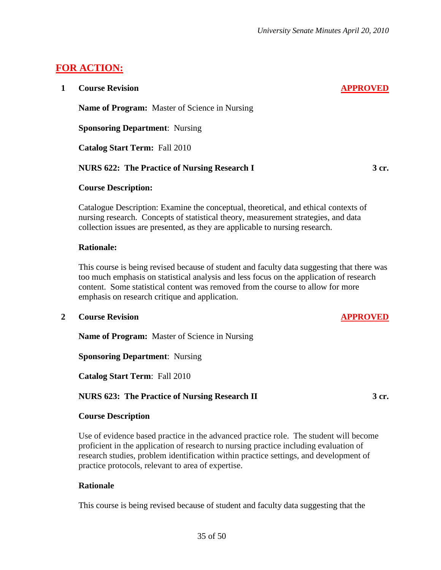# **FOR ACTION:**

**1 Course Revision APPROVED**

**Name of Program:** Master of Science in Nursing

**Sponsoring Department**: Nursing

**Catalog Start Term:** Fall 2010

# **NURS 622: The Practice of Nursing Research I 3 cr.**

# **Course Description:**

Catalogue Description: Examine the conceptual, theoretical, and ethical contexts of nursing research. Concepts of statistical theory, measurement strategies, and data collection issues are presented, as they are applicable to nursing research.

### **Rationale:**

This course is being revised because of student and faculty data suggesting that there was too much emphasis on statistical analysis and less focus on the application of research content. Some statistical content was removed from the course to allow for more emphasis on research critique and application.

### **2 Course Revision APPROVED**

**Name of Program:** Master of Science in Nursing

**Sponsoring Department**: Nursing

**Catalog Start Term**: Fall 2010

### **NURS 623: The Practice of Nursing Research II** 3 cr.

### **Course Description**

Use of evidence based practice in the advanced practice role. The student will become proficient in the application of research to nursing practice including evaluation of research studies, problem identification within practice settings, and development of practice protocols, relevant to area of expertise.

### **Rationale**

This course is being revised because of student and faculty data suggesting that the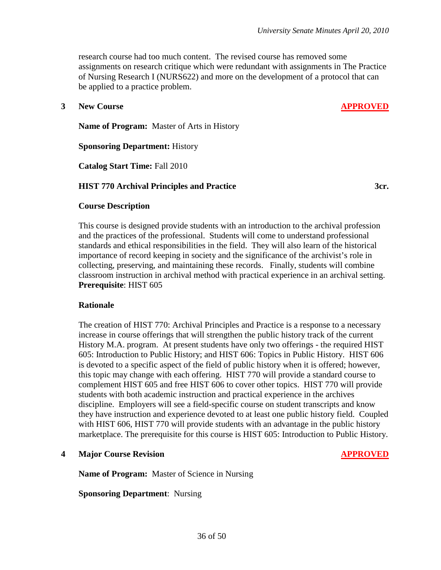research course had too much content. The revised course has removed some assignments on research critique which were redundant with assignments in The Practice of Nursing Research I (NURS622) and more on the development of a protocol that can be applied to a practice problem.

#### **3 New Course APPROVED**

#### **Name of Program:** Master of Arts in History

#### **Sponsoring Department:** History

#### **Catalog Start Time:** Fall 2010

#### **HIST 770 Archival Principles and Practice 3cr.**

### **Course Description**

This course is designed provide students with an introduction to the archival profession and the practices of the professional. Students will come to understand professional standards and ethical responsibilities in the field. They will also learn of the historical importance of record keeping in society and the significance of the archivist's role in collecting, preserving, and maintaining these records. Finally, students will combine classroom instruction in archival method with practical experience in an archival setting. **Prerequisite**: HIST 605

### **Rationale**

The creation of HIST 770: Archival Principles and Practice is a response to a necessary increase in course offerings that will strengthen the public history track of the current History M.A. program. At present students have only two offerings - the required HIST 605: Introduction to Public History; and HIST 606: Topics in Public History. HIST 606 is devoted to a specific aspect of the field of public history when it is offered; however, this topic may change with each offering. HIST 770 will provide a standard course to complement HIST 605 and free HIST 606 to cover other topics. HIST 770 will provide students with both academic instruction and practical experience in the archives discipline. Employers will see a field-specific course on student transcripts and know they have instruction and experience devoted to at least one public history field. Coupled with HIST 606, HIST 770 will provide students with an advantage in the public history marketplace. The prerequisite for this course is HIST 605: Introduction to Public History.

#### **4 Major Course Revision APPROVED**

**Name of Program:** Master of Science in Nursing

#### **Sponsoring Department**: Nursing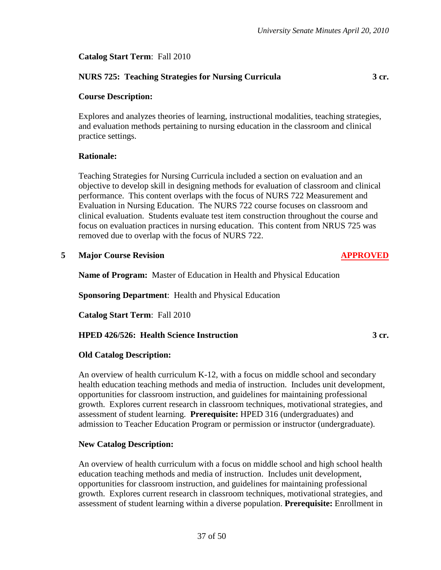# **Catalog Start Term**: Fall 2010

## **NURS 725: Teaching Strategies for Nursing Curricula 3 cr.**

## **Course Description:**

Explores and analyzes theories of learning, instructional modalities, teaching strategies, and evaluation methods pertaining to nursing education in the classroom and clinical practice settings.

### **Rationale:**

Teaching Strategies for Nursing Curricula included a section on evaluation and an objective to develop skill in designing methods for evaluation of classroom and clinical performance. This content overlaps with the focus of NURS 722 Measurement and Evaluation in Nursing Education. The NURS 722 course focuses on classroom and clinical evaluation. Students evaluate test item construction throughout the course and focus on evaluation practices in nursing education. This content from NRUS 725 was removed due to overlap with the focus of NURS 722.

**5 Major Course Revision APPROVED**

**Name of Program:** Master of Education in Health and Physical Education

**Sponsoring Department**: Health and Physical Education

**Catalog Start Term**: Fall 2010

### **HPED 426/526: Health Science Instruction 3 cr.**

### **Old Catalog Description:**

An overview of health curriculum K-12, with a focus on middle school and secondary health education teaching methods and media of instruction. Includes unit development, opportunities for classroom instruction, and guidelines for maintaining professional growth. Explores current research in classroom techniques, motivational strategies, and assessment of student learning. **Prerequisite:** HPED 316 (undergraduates) and admission to Teacher Education Program or permission or instructor (undergraduate).

### **New Catalog Description:**

An overview of health curriculum with a focus on middle school and high school health education teaching methods and media of instruction. Includes unit development, opportunities for classroom instruction, and guidelines for maintaining professional growth. Explores current research in classroom techniques, motivational strategies, and assessment of student learning within a diverse population. **Prerequisite:** Enrollment in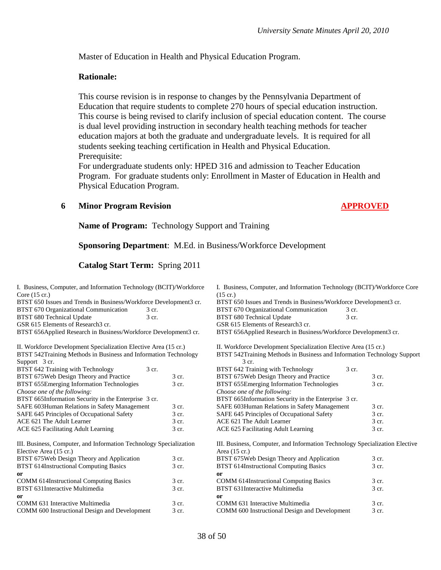Master of Education in Health and Physical Education Program.

# **Rationale:**

This course revision is in response to changes by the Pennsylvania Department of Education that require students to complete 270 hours of special education instruction. This course is being revised to clarify inclusion of special education content. The course is dual level providing instruction in secondary health teaching methods for teacher education majors at both the graduate and undergraduate levels. It is required for all students seeking teaching certification in Health and Physical Education. Prerequisite:

For undergraduate students only: HPED 316 and admission to Teacher Education Program. For graduate students only: Enrollment in Master of Education in Health and Physical Education Program.

# **6 Minor Program Revision APPROVED**

**Name of Program:** Technology Support and Training

**Sponsoring Department**: M.Ed. in Business/Workforce Development

# **Catalog Start Term:** Spring 2011

| I. Business, Computer, and Information Technology (BCIT)/Workforce |       | I. Business, Computer, and Information Technology (BCIT)/Workforce Core     |       |
|--------------------------------------------------------------------|-------|-----------------------------------------------------------------------------|-------|
| Core $(15 \text{ cr.})$                                            |       | $(15 \text{ cr.})$                                                          |       |
| BTST 650 Issues and Trends in Business/Workforce Development3 cr.  |       | BTST 650 Issues and Trends in Business/Workforce Development3 cr.           |       |
| BTST 670 Organizational Communication<br>3 cr.                     |       | BTST 670 Organizational Communication                                       | 3 cr. |
| BTST 680 Technical Update<br>3 cr.                                 |       | BTST 680 Technical Update                                                   | 3 cr. |
| GSR 615 Elements of Research3 cr.                                  |       | GSR 615 Elements of Research3 cr.                                           |       |
| BTST 656Applied Research in Business/Workforce Development3 cr.    |       | BTST 656Applied Research in Business/Workforce Development3 cr.             |       |
| II. Workforce Development Specialization Elective Area (15 cr.)    |       | II. Workforce Development Specialization Elective Area (15 cr.)             |       |
| BTST 542Training Methods in Business and Information Technology    |       | BTST 542Training Methods in Business and Information Technology Support     |       |
| Support 3 cr.                                                      |       | 3 cr.                                                                       |       |
| BTST 642 Training with Technology<br>3 cr.                         |       | BTST 642 Training with Technology                                           | 3 cr. |
| BTST 675 Web Design Theory and Practice                            | 3 cr. | BTST 675Web Design Theory and Practice                                      | 3 cr. |
| BTST 655Emerging Information Technologies                          | 3 cr. | BTST 655Emerging Information Technologies                                   | 3 cr. |
| Choose one of the following:                                       |       | Choose one of the following:                                                |       |
| BTST 665Information Security in the Enterprise 3 cr.               |       | BTST 665Information Security in the Enterprise 3 cr.                        |       |
| SAFE 603Human Relations in Safety Management                       | 3 cr. | SAFE 603Human Relations in Safety Management                                | 3 cr. |
| SAFE 645 Principles of Occupational Safety                         | 3 cr. | SAFE 645 Principles of Occupational Safety                                  | 3 cr. |
| ACE 621 The Adult Learner                                          | 3 cr. | ACE 621 The Adult Learner                                                   | 3 cr. |
| ACE 625 Facilitating Adult Learning                                | 3 cr. | ACE 625 Facilitating Adult Learning                                         | 3 cr. |
| III. Business, Computer, and Information Technology Specialization |       | III. Business, Computer, and Information Technology Specialization Elective |       |
| Elective Area (15 cr.)                                             |       | Area (15 cr.)                                                               |       |
| BTST 675Web Design Theory and Application                          | 3 cr. | BTST 675Web Design Theory and Application                                   | 3 cr. |
| <b>BTST 614Instructional Computing Basics</b>                      | 3 cr. | <b>BTST 614Instructional Computing Basics</b>                               | 3 cr. |
| or                                                                 |       | <sub>or</sub>                                                               |       |
| COMM 614Instructional Computing Basics                             | 3 cr. | <b>COMM 614Instructional Computing Basics</b>                               | 3 cr. |
| BTST 631Interactive Multimedia                                     | 3 cr. | BTST 631Interactive Multimedia                                              | 3 cr. |
| <sub>or</sub>                                                      |       | <sub>or</sub>                                                               |       |
| COMM 631 Interactive Multimedia                                    | 3 cr. | COMM 631 Interactive Multimedia                                             | 3 cr. |
| COMM 600 Instructional Design and Development                      | 3 cr. | COMM 600 Instructional Design and Development                               | 3 cr. |
|                                                                    |       |                                                                             |       |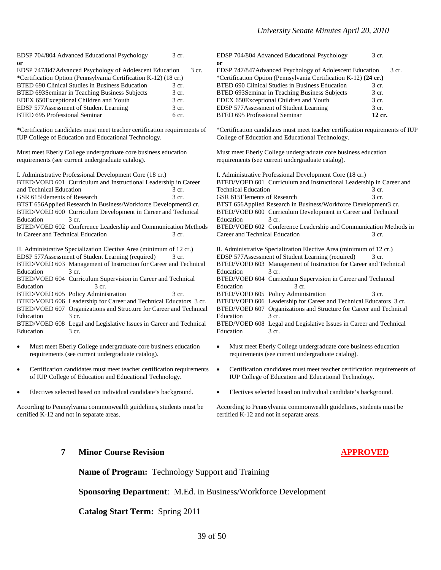| EDSP 704/804 Advanced Educational Psychology                     | 3 cr.            |
|------------------------------------------------------------------|------------------|
| 0r                                                               |                  |
| EDSP 747/847Advanced Psychology of Adolescent Education          | 3 cr.            |
| *Certification Option (Pennsylvania Certification K-12) (18 cr.) |                  |
| <b>BTED 690 Clinical Studies in Business Education</b>           | 3 cr.            |
| BTED 693Seminar in Teaching Business Subjects                    | 3 cr.            |
| EDEX 650Exceptional Children and Youth                           | 3 cr.            |
| <b>EDSP 577Assessment of Student Learning</b>                    | 3 cr.            |
| <b>BTED 695 Professional Seminar</b>                             | 6 <sub>cr.</sub> |

\*Certification candidates must meet teacher certification requirements of IUP College of Education and Educational Technology.

Must meet Eberly College undergraduate core business education requirements (see current undergraduate catalog).

I. Administrative Professional Development Core (18 cr.) BTED/VOED 601 Curriculum and Instructional Leadership in Career and Technical Education 3 cr. GSR 615Elements of Research 3 cr. BTST 656Applied Research in Business/Workforce Development3 cr. BTED/VOED 600 Curriculum Development in Career and Technical Education 3 cr. BTED/VOED 602 Conference Leadership and Communication Methods in Career and Technical Education 3 cr. II. Administrative Specialization Elective Area (minimum of 12 cr.) EDSP 577Assessment of Student Learning (required) 3 cr. BTED/VOED 603 Management of Instruction for Career and Technical Education 3 cr. BTED/VOED 604 Curriculum Supervision in Career and Technical Education 3 cr. BTED/VOED 605 Policy Administration 3 cr.

BTED/VOED 606 Leadership for Career and Technical Educators 3 cr. BTED/VOED 607 Organizations and Structure for Career and Technical Education 3 cr. BTED/VOED 608 Legal and Legislative Issues in Career and Technical

Education 3 cr.

- Must meet Eberly College undergraduate core business education requirements (see current undergraduate catalog).
- Certification candidates must meet teacher certification requirements of IUP College of Education and Educational Technology.
- Electives selected based on individual candidate's background.

According to Pennsylvania commonwealth guidelines, students must be certified K-12 and not in separate areas.

#### EDSP 704/804 Advanced Educational Psychology 3 cr. **or** EDSP 747/847Advanced Psychology of Adolescent Education 3 cr. \*Certification Option (Pennsylvania Certification K-12) **(24 cr.)** BTED 690 Clinical Studies in Business Education 3 cr. BTED 693Seminar in Teaching Business Subjects 3 cr. EDEX 650Exceptional Children and Youth 3 cr. EDSP 577Assessment of Student Learning 3 cr.<br>BTED 695 Professional Seminar 12 cr. **BTED 695 Professional Seminar**

\*Certification candidates must meet teacher certification requirements of IUP College of Education and Educational Technology.

Must meet Eberly College undergraduate core business education requirements (see current undergraduate catalog).

I. Administrative Professional Development Core (18 cr.) BTED/VOED 601 Curriculum and Instructional Leadership in Career and Technical Education 3 cr. GSR 615Elements of Research 3 cr. BTST 656Applied Research in Business/Workforce Development3 cr. BTED/VOED 600 Curriculum Development in Career and Technical Education 3 cr. BTED/VOED 602 Conference Leadership and Communication Methods in Career and Technical Education 3 cr.

II. Administrative Specialization Elective Area (minimum of 12 cr.) EDSP 577Assessment of Student Learning (required) 3 cr. BTED/VOED 603 Management of Instruction for Career and Technical Education 3 cr. BTED/VOED 604 Curriculum Supervision in Career and Technical Education 3 cr. BTED/VOED 605 Policy Administration 3 cr. BTED/VOED 606 Leadership for Career and Technical Educators 3 cr. BTED/VOED 607 Organizations and Structure for Career and Technical Education 3 cr. BTED/VOED 608 Legal and Legislative Issues in Career and Technical Education 3 cr.

- Must meet Eberly College undergraduate core business education requirements (see current undergraduate catalog).
- Certification candidates must meet teacher certification requirements of IUP College of Education and Educational Technology.
- Electives selected based on individual candidate's background.

According to Pennsylvania commonwealth guidelines, students must be certified K-12 and not in separate areas.

#### **7 Minor Course Revision APPROVED**

**Name of Program:** Technology Support and Training

**Sponsoring Department**: M.Ed. in Business/Workforce Development

**Catalog Start Term:** Spring 2011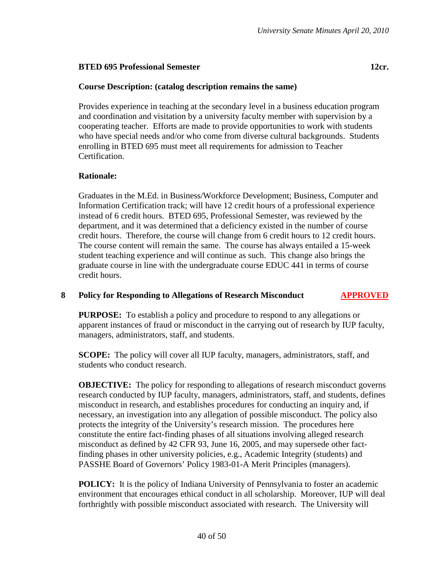# **BTED 695 Professional Semester 12cr.**

# **Course Description: (catalog description remains the same)**

Provides experience in teaching at the secondary level in a business education program and coordination and visitation by a university faculty member with supervision by a cooperating teacher. Efforts are made to provide opportunities to work with students who have special needs and/or who come from diverse cultural backgrounds. Students enrolling in BTED 695 must meet all requirements for admission to Teacher Certification.

# **Rationale:**

Graduates in the M.Ed. in Business/Workforce Development; Business, Computer and Information Certification track; will have 12 credit hours of a professional experience instead of 6 credit hours. BTED 695, Professional Semester, was reviewed by the department, and it was determined that a deficiency existed in the number of course credit hours. Therefore, the course will change from 6 credit hours to 12 credit hours. The course content will remain the same. The course has always entailed a 15-week student teaching experience and will continue as such. This change also brings the graduate course in line with the undergraduate course EDUC 441 in terms of course credit hours.

# **8 Policy for Responding to Allegations of Research Misconduct APPROVED**

**PURPOSE:** To establish a policy and procedure to respond to any allegations or apparent instances of fraud or misconduct in the carrying out of research by IUP faculty, managers, administrators, staff, and students.

**SCOPE:** The policy will cover all IUP faculty, managers, administrators, staff, and students who conduct research.

**OBJECTIVE:** The policy for responding to allegations of research misconduct governs research conducted by IUP faculty, managers, administrators, staff, and students, defines misconduct in research, and establishes procedures for conducting an inquiry and, if necessary, an investigation into any allegation of possible misconduct. The policy also protects the integrity of the University's research mission. The procedures here constitute the entire fact-finding phases of all situations involving alleged research misconduct as defined by 42 CFR 93, June 16, 2005, and may supersede other factfinding phases in other university policies, e.g., Academic Integrity (students) and PASSHE Board of Governors' Policy 1983-01-A Merit Principles (managers).

**POLICY:** It is the policy of Indiana University of Pennsylvania to foster an academic environment that encourages ethical conduct in all scholarship. Moreover, IUP will deal forthrightly with possible misconduct associated with research. The University will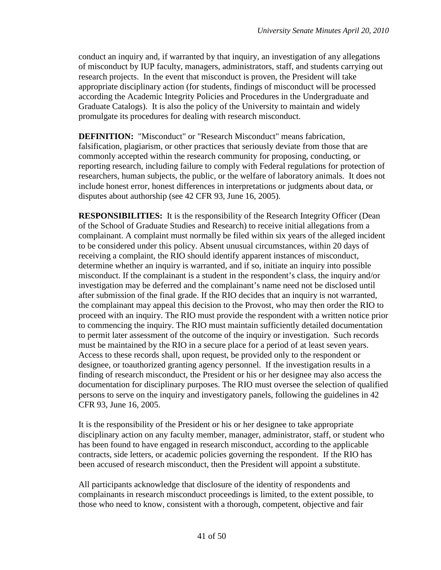conduct an inquiry and, if warranted by that inquiry, an investigation of any allegations of misconduct by IUP faculty, managers, administrators, staff, and students carrying out research projects. In the event that misconduct is proven, the President will take appropriate disciplinary action (for students, findings of misconduct will be processed according the Academic Integrity Policies and Procedures in the Undergraduate and Graduate Catalogs). It is also the policy of the University to maintain and widely promulgate its procedures for dealing with research misconduct.

**DEFINITION:** "Misconduct" or "Research Misconduct" means fabrication, falsification, plagiarism, or other practices that seriously deviate from those that are commonly accepted within the research community for proposing, conducting, or reporting research, including failure to comply with Federal regulations for protection of researchers, human subjects, the public, or the welfare of laboratory animals. It does not include honest error, honest differences in interpretations or judgments about data, or disputes about authorship (see 42 CFR 93, June 16, 2005).

**RESPONSIBILITIES:** It is the responsibility of the Research Integrity Officer (Dean of the School of Graduate Studies and Research) to receive initial allegations from a complainant. A complaint must normally be filed within six years of the alleged incident to be considered under this policy. Absent unusual circumstances, within 20 days of receiving a complaint, the RIO should identify apparent instances of misconduct, determine whether an inquiry is warranted, and if so, initiate an inquiry into possible misconduct. If the complainant is a student in the respondent's class, the inquiry and/or investigation may be deferred and the complainant's name need not be disclosed until after submission of the final grade. If the RIO decides that an inquiry is not warranted, the complainant may appeal this decision to the Provost, who may then order the RIO to proceed with an inquiry. The RIO must provide the respondent with a written notice prior to commencing the inquiry. The RIO must maintain sufficiently detailed documentation to permit later assessment of the outcome of the inquiry or investigation. Such records must be maintained by the RIO in a secure place for a period of at least seven years. Access to these records shall, upon request, be provided only to the respondent or designee, or toauthorized granting agency personnel. If the investigation results in a finding of research misconduct, the President or his or her designee may also access the documentation for disciplinary purposes. The RIO must oversee the selection of qualified persons to serve on the inquiry and investigatory panels, following the guidelines in 42 CFR 93, June 16, 2005.

It is the responsibility of the President or his or her designee to take appropriate disciplinary action on any faculty member, manager, administrator, staff, or student who has been found to have engaged in research misconduct, according to the applicable contracts, side letters, or academic policies governing the respondent. If the RIO has been accused of research misconduct, then the President will appoint a substitute.

All participants acknowledge that disclosure of the identity of respondents and complainants in research misconduct proceedings is limited, to the extent possible, to those who need to know, consistent with a thorough, competent, objective and fair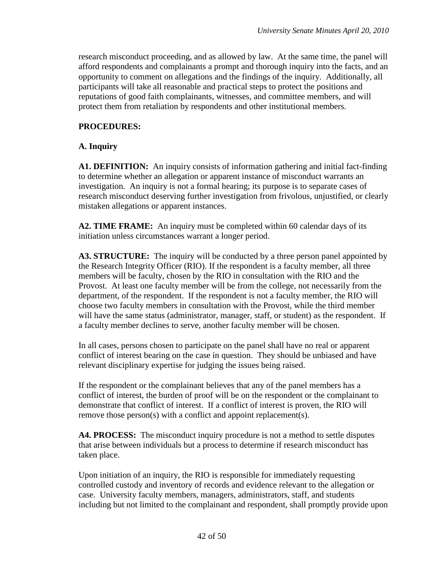research misconduct proceeding, and as allowed by law. At the same time, the panel will afford respondents and complainants a prompt and thorough inquiry into the facts, and an opportunity to comment on allegations and the findings of the inquiry. Additionally, all participants will take all reasonable and practical steps to protect the positions and reputations of good faith complainants, witnesses, and committee members, and will protect them from retaliation by respondents and other institutional members.

# **PROCEDURES:**

# **A. Inquiry**

**A1. DEFINITION:** An inquiry consists of information gathering and initial fact-finding to determine whether an allegation or apparent instance of misconduct warrants an investigation. An inquiry is not a formal hearing; its purpose is to separate cases of research misconduct deserving further investigation from frivolous, unjustified, or clearly mistaken allegations or apparent instances.

**A2. TIME FRAME:** An inquiry must be completed within 60 calendar days of its initiation unless circumstances warrant a longer period.

**A3. STRUCTURE:** The inquiry will be conducted by a three person panel appointed by the Research Integrity Officer (RIO). If the respondent is a faculty member, all three members will be faculty, chosen by the RIO in consultation with the RIO and the Provost. At least one faculty member will be from the college, not necessarily from the department, of the respondent. If the respondent is not a faculty member, the RIO will choose two faculty members in consultation with the Provost, while the third member will have the same status (administrator, manager, staff, or student) as the respondent. If a faculty member declines to serve, another faculty member will be chosen.

In all cases, persons chosen to participate on the panel shall have no real or apparent conflict of interest bearing on the case in question. They should be unbiased and have relevant disciplinary expertise for judging the issues being raised.

If the respondent or the complainant believes that any of the panel members has a conflict of interest, the burden of proof will be on the respondent or the complainant to demonstrate that conflict of interest. If a conflict of interest is proven, the RIO will remove those person(s) with a conflict and appoint replacement(s).

**A4. PROCESS:** The misconduct inquiry procedure is not a method to settle disputes that arise between individuals but a process to determine if research misconduct has taken place.

Upon initiation of an inquiry, the RIO is responsible for immediately requesting controlled custody and inventory of records and evidence relevant to the allegation or case. University faculty members, managers, administrators, staff, and students including but not limited to the complainant and respondent, shall promptly provide upon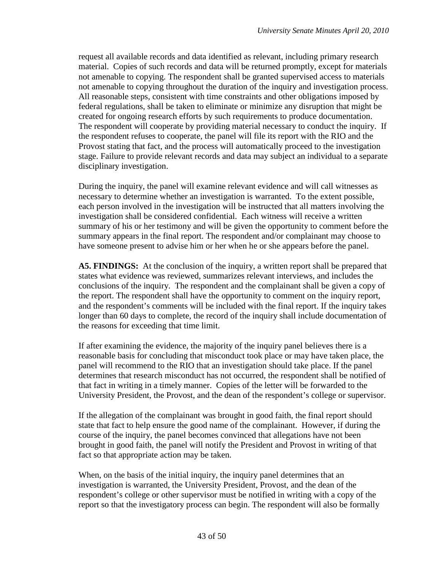request all available records and data identified as relevant, including primary research material. Copies of such records and data will be returned promptly, except for materials not amenable to copying. The respondent shall be granted supervised access to materials not amenable to copying throughout the duration of the inquiry and investigation process. All reasonable steps, consistent with time constraints and other obligations imposed by federal regulations, shall be taken to eliminate or minimize any disruption that might be created for ongoing research efforts by such requirements to produce documentation. The respondent will cooperate by providing material necessary to conduct the inquiry. If the respondent refuses to cooperate, the panel will file its report with the RIO and the Provost stating that fact, and the process will automatically proceed to the investigation stage. Failure to provide relevant records and data may subject an individual to a separate disciplinary investigation.

During the inquiry, the panel will examine relevant evidence and will call witnesses as necessary to determine whether an investigation is warranted. To the extent possible, each person involved in the investigation will be instructed that all matters involving the investigation shall be considered confidential. Each witness will receive a written summary of his or her testimony and will be given the opportunity to comment before the summary appears in the final report. The respondent and/or complainant may choose to have someone present to advise him or her when he or she appears before the panel.

**A5. FINDINGS:** At the conclusion of the inquiry, a written report shall be prepared that states what evidence was reviewed, summarizes relevant interviews, and includes the conclusions of the inquiry. The respondent and the complainant shall be given a copy of the report. The respondent shall have the opportunity to comment on the inquiry report, and the respondent's comments will be included with the final report. If the inquiry takes longer than 60 days to complete, the record of the inquiry shall include documentation of the reasons for exceeding that time limit.

If after examining the evidence, the majority of the inquiry panel believes there is a reasonable basis for concluding that misconduct took place or may have taken place, the panel will recommend to the RIO that an investigation should take place. If the panel determines that research misconduct has not occurred, the respondent shall be notified of that fact in writing in a timely manner. Copies of the letter will be forwarded to the University President, the Provost, and the dean of the respondent's college or supervisor.

If the allegation of the complainant was brought in good faith, the final report should state that fact to help ensure the good name of the complainant. However, if during the course of the inquiry, the panel becomes convinced that allegations have not been brought in good faith, the panel will notify the President and Provost in writing of that fact so that appropriate action may be taken.

When, on the basis of the initial inquiry, the inquiry panel determines that an investigation is warranted, the University President, Provost, and the dean of the respondent's college or other supervisor must be notified in writing with a copy of the report so that the investigatory process can begin. The respondent will also be formally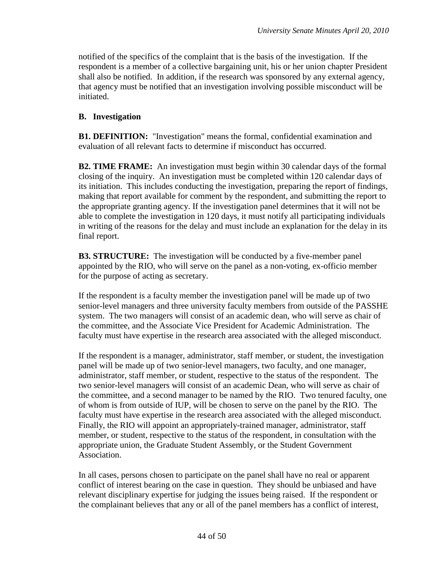notified of the specifics of the complaint that is the basis of the investigation. If the respondent is a member of a collective bargaining unit, his or her union chapter President shall also be notified. In addition, if the research was sponsored by any external agency, that agency must be notified that an investigation involving possible misconduct will be initiated.

# **B. Investigation**

**B1. DEFINITION:** "Investigation" means the formal, confidential examination and evaluation of all relevant facts to determine if misconduct has occurred.

**B2. TIME FRAME:** An investigation must begin within 30 calendar days of the formal closing of the inquiry. An investigation must be completed within 120 calendar days of its initiation. This includes conducting the investigation, preparing the report of findings, making that report available for comment by the respondent, and submitting the report to the appropriate granting agency. If the investigation panel determines that it will not be able to complete the investigation in 120 days, it must notify all participating individuals in writing of the reasons for the delay and must include an explanation for the delay in its final report.

**B3. STRUCTURE:** The investigation will be conducted by a five-member panel appointed by the RIO, who will serve on the panel as a non-voting, ex-officio member for the purpose of acting as secretary.

If the respondent is a faculty member the investigation panel will be made up of two senior-level managers and three university faculty members from outside of the PASSHE system. The two managers will consist of an academic dean, who will serve as chair of the committee, and the Associate Vice President for Academic Administration. The faculty must have expertise in the research area associated with the alleged misconduct.

If the respondent is a manager, administrator, staff member, or student, the investigation panel will be made up of two senior-level managers, two faculty, and one manager, administrator, staff member, or student, respective to the status of the respondent. The two senior-level managers will consist of an academic Dean, who will serve as chair of the committee, and a second manager to be named by the RIO. Two tenured faculty, one of whom is from outside of IUP, will be chosen to serve on the panel by the RIO. The faculty must have expertise in the research area associated with the alleged misconduct. Finally, the RIO will appoint an appropriately-trained manager, administrator, staff member, or student, respective to the status of the respondent, in consultation with the appropriate union, the Graduate Student Assembly, or the Student Government Association.

In all cases, persons chosen to participate on the panel shall have no real or apparent conflict of interest bearing on the case in question. They should be unbiased and have relevant disciplinary expertise for judging the issues being raised. If the respondent or the complainant believes that any or all of the panel members has a conflict of interest,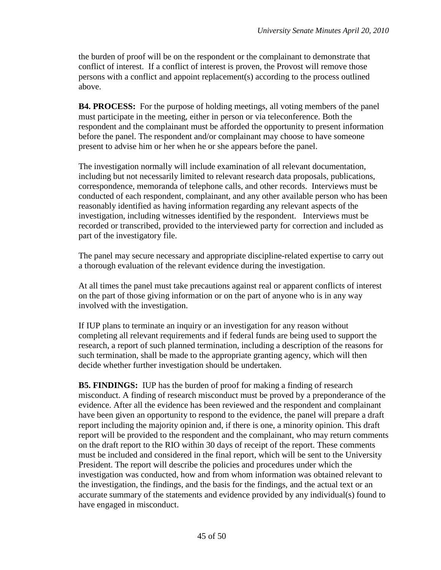the burden of proof will be on the respondent or the complainant to demonstrate that conflict of interest. If a conflict of interest is proven, the Provost will remove those persons with a conflict and appoint replacement(s) according to the process outlined above.

**B4. PROCESS:** For the purpose of holding meetings, all voting members of the panel must participate in the meeting, either in person or via teleconference. Both the respondent and the complainant must be afforded the opportunity to present information before the panel. The respondent and/or complainant may choose to have someone present to advise him or her when he or she appears before the panel.

The investigation normally will include examination of all relevant documentation, including but not necessarily limited to relevant research data proposals, publications, correspondence, memoranda of telephone calls, and other records. Interviews must be conducted of each respondent, complainant, and any other available person who has been reasonably identified as having information regarding any relevant aspects of the investigation, including witnesses identified by the respondent. Interviews must be recorded or transcribed, provided to the interviewed party for correction and included as part of the investigatory file.

The panel may secure necessary and appropriate discipline-related expertise to carry out a thorough evaluation of the relevant evidence during the investigation.

At all times the panel must take precautions against real or apparent conflicts of interest on the part of those giving information or on the part of anyone who is in any way involved with the investigation.

If IUP plans to terminate an inquiry or an investigation for any reason without completing all relevant requirements and if federal funds are being used to support the research, a report of such planned termination, including a description of the reasons for such termination, shall be made to the appropriate granting agency, which will then decide whether further investigation should be undertaken.

**B5. FINDINGS:** IUP has the burden of proof for making a finding of research misconduct. A finding of research misconduct must be proved by a preponderance of the evidence. After all the evidence has been reviewed and the respondent and complainant have been given an opportunity to respond to the evidence, the panel will prepare a draft report including the majority opinion and, if there is one, a minority opinion. This draft report will be provided to the respondent and the complainant, who may return comments on the draft report to the RIO within 30 days of receipt of the report. These comments must be included and considered in the final report, which will be sent to the University President. The report will describe the policies and procedures under which the investigation was conducted, how and from whom information was obtained relevant to the investigation, the findings, and the basis for the findings, and the actual text or an accurate summary of the statements and evidence provided by any individual(s) found to have engaged in misconduct.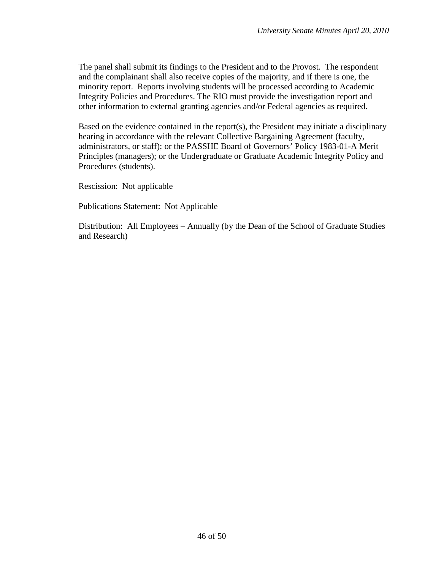The panel shall submit its findings to the President and to the Provost. The respondent and the complainant shall also receive copies of the majority, and if there is one, the minority report. Reports involving students will be processed according to Academic Integrity Policies and Procedures. The RIO must provide the investigation report and other information to external granting agencies and/or Federal agencies as required.

Based on the evidence contained in the report(s), the President may initiate a disciplinary hearing in accordance with the relevant Collective Bargaining Agreement (faculty, administrators, or staff); or the PASSHE Board of Governors' Policy 1983-01-A Merit Principles (managers); or the Undergraduate or Graduate Academic Integrity Policy and Procedures (students).

Rescission: Not applicable

Publications Statement: Not Applicable

Distribution: All Employees – Annually (by the Dean of the School of Graduate Studies and Research)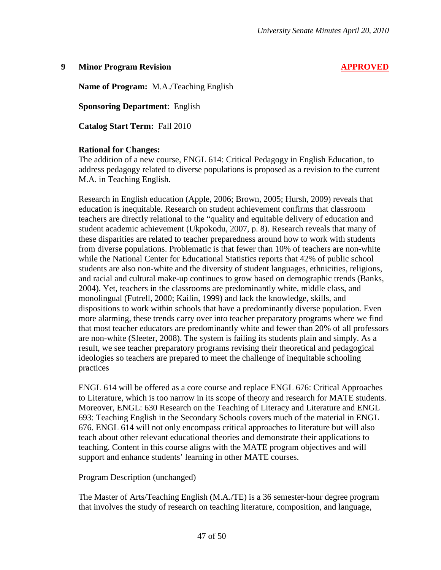# **9 Minor Program Revision APPROVED**

**Name of Program:** M.A./Teaching English

**Sponsoring Department**: English

**Catalog Start Term:** Fall 2010

# **Rational for Changes:**

The addition of a new course, ENGL 614: Critical Pedagogy in English Education, to address pedagogy related to diverse populations is proposed as a revision to the current M.A. in Teaching English.

Research in English education (Apple, 2006; Brown, 2005; Hursh, 2009) reveals that education is inequitable. Research on student achievement confirms that classroom teachers are directly relational to the "quality and equitable delivery of education and student academic achievement (Ukpokodu, 2007, p. 8). Research reveals that many of these disparities are related to teacher preparedness around how to work with students from diverse populations. Problematic is that fewer than 10% of teachers are non-white while the National Center for Educational Statistics reports that 42% of public school students are also non-white and the diversity of student languages, ethnicities, religions, and racial and cultural make-up continues to grow based on demographic trends (Banks, 2004). Yet, teachers in the classrooms are predominantly white, middle class, and monolingual (Futrell, 2000; Kailin, 1999) and lack the knowledge, skills, and dispositions to work within schools that have a predominantly diverse population. Even more alarming, these trends carry over into teacher preparatory programs where we find that most teacher educators are predominantly white and fewer than 20% of all professors are non-white (Sleeter, 2008). The system is failing its students plain and simply. As a result, we see teacher preparatory programs revising their theoretical and pedagogical ideologies so teachers are prepared to meet the challenge of inequitable schooling practices

ENGL 614 will be offered as a core course and replace ENGL 676: Critical Approaches to Literature, which is too narrow in its scope of theory and research for MATE students. Moreover, ENGL: 630 Research on the Teaching of Literacy and Literature and ENGL 693: Teaching English in the Secondary Schools covers much of the material in ENGL 676. ENGL 614 will not only encompass critical approaches to literature but will also teach about other relevant educational theories and demonstrate their applications to teaching. Content in this course aligns with the MATE program objectives and will support and enhance students' learning in other MATE courses.

# Program Description (unchanged)

The Master of Arts/Teaching English (M.A./TE) is a 36 semester-hour degree program that involves the study of research on teaching literature, composition, and language,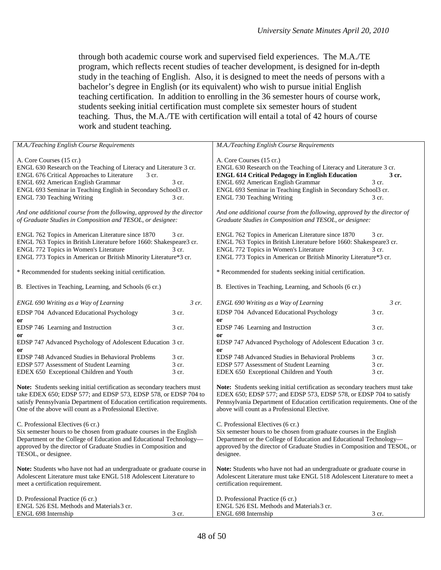through both academic course work and supervised field experiences. The M.A./TE program, which reflects recent studies of teacher development, is designed for in-depth study in the teaching of English. Also, it is designed to meet the needs of persons with a bachelor's degree in English (or its equivalent) who wish to pursue initial English teaching certification. In addition to enrolling in the 36 semester hours of course work, students seeking initial certification must complete six semester hours of student teaching. Thus, the M.A./TE with certification will entail a total of 42 hours of course work and student teaching.

| M.A./Teaching English Course Requirements                                                                                                                                                                                                                                                       |                | M.A./Teaching English Course Requirements                                                                                                                                                                                                                                                          |                         |  |
|-------------------------------------------------------------------------------------------------------------------------------------------------------------------------------------------------------------------------------------------------------------------------------------------------|----------------|----------------------------------------------------------------------------------------------------------------------------------------------------------------------------------------------------------------------------------------------------------------------------------------------------|-------------------------|--|
| A. Core Courses (15 cr.)<br>ENGL 630 Research on the Teaching of Literacy and Literature 3 cr.<br>ENGL 676 Critical Approaches to Literature<br>3 cr.<br>ENGL 692 American English Grammar<br>ENGL 693 Seminar in Teaching English in Secondary School3 cr.<br><b>ENGL 730 Teaching Writing</b> | 3 cr.<br>3 cr. | A. Core Courses (15 cr.)<br>ENGL 630 Research on the Teaching of Literacy and Literature 3 cr.<br><b>ENGL 614 Critical Pedagogy in English Education</b><br>ENGL 692 American English Grammar<br>ENGL 693 Seminar in Teaching English in Secondary School3 cr.<br><b>ENGL 730 Teaching Writing</b> | 3 cr.<br>3 cr.<br>3 cr. |  |
| And one additional course from the following, approved by the director<br>of Graduate Studies in Composition and TESOL, or designee:                                                                                                                                                            |                | And one additional course from the following, approved by the director of<br>Graduate Studies in Composition and TESOL, or designee:                                                                                                                                                               |                         |  |
| ENGL 762 Topics in American Literature since 1870<br>3 cr.<br>ENGL 763 Topics in British Literature before 1660: Shakespeare3 cr.<br>ENGL 772 Topics in Women's Literature<br>3 cr.<br>ENGL 773 Topics in American or British Minority Literature*3 cr.                                         |                | ENGL 762 Topics in American Literature since 1870<br>3 cr.<br>ENGL 763 Topics in British Literature before 1660: Shakespeare3 cr.<br>ENGL 772 Topics in Women's Literature<br>3 cr.<br>ENGL 773 Topics in American or British Minority Literature*3 cr.                                            |                         |  |
| * Recommended for students seeking initial certification.                                                                                                                                                                                                                                       |                | * Recommended for students seeking initial certification.                                                                                                                                                                                                                                          |                         |  |
| B. Electives in Teaching, Learning, and Schools (6 cr.)                                                                                                                                                                                                                                         |                | B. Electives in Teaching, Learning, and Schools (6 cr.)                                                                                                                                                                                                                                            |                         |  |
| ENGL 690 Writing as a Way of Learning                                                                                                                                                                                                                                                           | $3$ cr.        | ENGL 690 Writing as a Way of Learning                                                                                                                                                                                                                                                              | $3$ cr.                 |  |
| EDSP 704 Advanced Educational Psychology<br>or                                                                                                                                                                                                                                                  | 3 cr.          | EDSP 704 Advanced Educational Psychology<br>or                                                                                                                                                                                                                                                     | 3 cr.                   |  |
| EDSP 746 Learning and Instruction                                                                                                                                                                                                                                                               | 3 cr.          | EDSP 746 Learning and Instruction                                                                                                                                                                                                                                                                  | 3 cr.                   |  |
| or<br>EDSP 747 Advanced Psychology of Adolescent Education 3 cr.<br>or                                                                                                                                                                                                                          |                | or<br>EDSP 747 Advanced Psychology of Adolescent Education 3 cr.<br><sub>or</sub>                                                                                                                                                                                                                  |                         |  |
| EDSP 748 Advanced Studies in Behavioral Problems                                                                                                                                                                                                                                                | 3 cr.          | EDSP 748 Advanced Studies in Behavioral Problems                                                                                                                                                                                                                                                   | 3 cr.                   |  |
| EDSP 577 Assessment of Student Learning                                                                                                                                                                                                                                                         | 3 cr.          | EDSP 577 Assessment of Student Learning                                                                                                                                                                                                                                                            | 3 cr.                   |  |
| EDEX 650 Exceptional Children and Youth                                                                                                                                                                                                                                                         | 3 cr.          | EDEX 650 Exceptional Children and Youth                                                                                                                                                                                                                                                            | 3 cr.                   |  |
| Note: Students seeking initial certification as secondary teachers must<br>take EDEX 650; EDSP 577; and EDSP 573, EDSP 578, or EDSP 704 to<br>satisfy Pennsylvania Department of Education certification requirements.<br>One of the above will count as a Professional Elective.               |                | Note: Students seeking initial certification as secondary teachers must take<br>EDEX 650; EDSP 577; and EDSP 573, EDSP 578, or EDSP 704 to satisfy<br>Pennsylvania Department of Education certification requirements. One of the<br>above will count as a Professional Elective.                  |                         |  |
| C. Professional Electives (6 cr.)<br>Six semester hours to be chosen from graduate courses in the English<br>Department or the College of Education and Educational Technology-<br>approved by the director of Graduate Studies in Composition and<br>TESOL, or designee.                       |                | C. Professional Electives (6 cr.)<br>Six semester hours to be chosen from graduate courses in the English<br>Department or the College of Education and Educational Technology-<br>approved by the director of Graduate Studies in Composition and TESOL, or<br>designee.                          |                         |  |
| Note: Students who have not had an undergraduate or graduate course in<br>Adolescent Literature must take ENGL 518 Adolescent Literature to<br>meet a certification requirement.                                                                                                                |                | Note: Students who have not had an undergraduate or graduate course in<br>Adolescent Literature must take ENGL 518 Adolescent Literature to meet a<br>certification requirement.                                                                                                                   |                         |  |
| D. Professional Practice (6 cr.)<br>ENGL 526 ESL Methods and Materials 3 cr.<br>ENGL 698 Internship                                                                                                                                                                                             | 3 cr.          | D. Professional Practice (6 cr.)<br>ENGL 526 ESL Methods and Materials 3 cr.<br>ENGL 698 Internship                                                                                                                                                                                                | 3 cr.                   |  |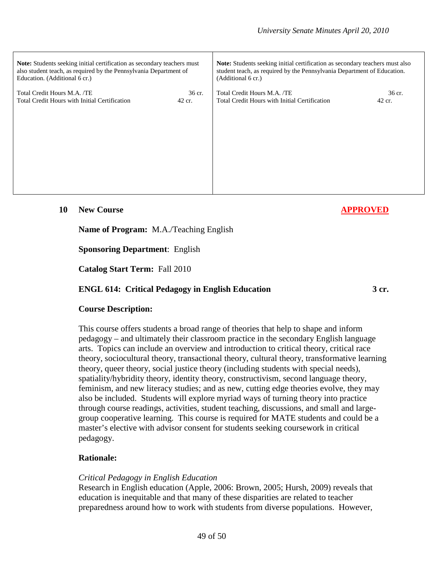| <b>Note:</b> Students seeking initial certification as secondary teachers must |        | <b>Note:</b> Students seeking initial certification as secondary teachers must also |        |
|--------------------------------------------------------------------------------|--------|-------------------------------------------------------------------------------------|--------|
| also student teach, as required by the Pennsylvania Department of              |        | student teach, as required by the Pennsylvania Department of Education.             |        |
| Education. (Additional 6 cr.)                                                  |        | (Additional 6 cr.)                                                                  |        |
| Total Credit Hours M.A. /TE                                                    | 36 cr. | Total Credit Hours M.A. /TE                                                         | 36 cr. |
| Total Credit Hours with Initial Certification                                  | 42 cr. | Total Credit Hours with Initial Certification                                       | 42 cr. |

## **10 New Course APPROVED**

**Name of Program:** M.A./Teaching English

**Sponsoring Department**: English

**Catalog Start Term:** Fall 2010

### **ENGL 614: Critical Pedagogy in English Education 3 cr.**

### **Course Description:**

This course offers students a broad range of theories that help to shape and inform pedagogy – and ultimately their classroom practice in the secondary English language arts. Topics can include an overview and introduction to critical theory, critical race theory, sociocultural theory, transactional theory, cultural theory, transformative learning theory, queer theory, social justice theory (including students with special needs), spatiality/hybridity theory, identity theory, constructivism, second language theory, feminism, and new literacy studies; and as new, cutting edge theories evolve, they may also be included. Students will explore myriad ways of turning theory into practice through course readings, activities, student teaching, discussions, and small and largegroup cooperative learning. This course is required for MATE students and could be a master's elective with advisor consent for students seeking coursework in critical pedagogy.

### **Rationale:**

### *Critical Pedagogy in English Education*

Research in English education (Apple, 2006: Brown, 2005; Hursh, 2009) reveals that education is inequitable and that many of these disparities are related to teacher preparedness around how to work with students from diverse populations. However,